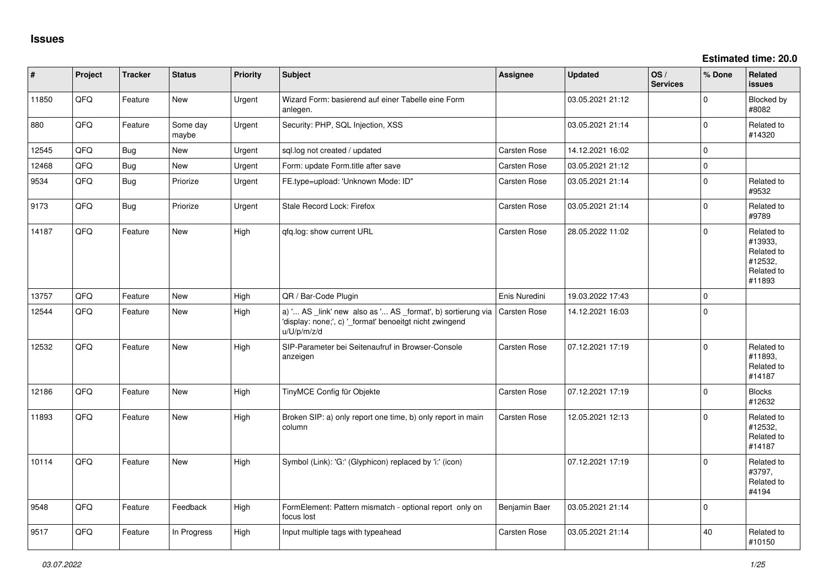**Estimated time: 20.0**

| #     | Project | <b>Tracker</b> | <b>Status</b>     | <b>Priority</b> | Subject                                                                                                                               | <b>Assignee</b>     | <b>Updated</b>   | OS/<br><b>Services</b> | % Done         | Related<br><b>issues</b>                                               |
|-------|---------|----------------|-------------------|-----------------|---------------------------------------------------------------------------------------------------------------------------------------|---------------------|------------------|------------------------|----------------|------------------------------------------------------------------------|
| 11850 | QFQ     | Feature        | New               | Urgent          | Wizard Form: basierend auf einer Tabelle eine Form<br>anlegen.                                                                        |                     | 03.05.2021 21:12 |                        | $\Omega$       | <b>Blocked by</b><br>#8082                                             |
| 880   | QFQ     | Feature        | Some day<br>maybe | Urgent          | Security: PHP, SQL Injection, XSS                                                                                                     |                     | 03.05.2021 21:14 |                        | $\Omega$       | Related to<br>#14320                                                   |
| 12545 | QFQ     | <b>Bug</b>     | New               | Urgent          | sql.log not created / updated                                                                                                         | Carsten Rose        | 14.12.2021 16:02 |                        | 0              |                                                                        |
| 12468 | QFQ     | <b>Bug</b>     | New               | Urgent          | Form: update Form.title after save                                                                                                    | Carsten Rose        | 03.05.2021 21:12 |                        | 0              |                                                                        |
| 9534  | QFQ     | Bug            | Priorize          | Urgent          | FE.type=upload: 'Unknown Mode: ID"                                                                                                    | Carsten Rose        | 03.05.2021 21:14 |                        | 0              | Related to<br>#9532                                                    |
| 9173  | QFQ     | <b>Bug</b>     | Priorize          | Urgent          | Stale Record Lock: Firefox                                                                                                            | Carsten Rose        | 03.05.2021 21:14 |                        | $\overline{0}$ | Related to<br>#9789                                                    |
| 14187 | QFQ     | Feature        | <b>New</b>        | High            | qfq.log: show current URL                                                                                                             | Carsten Rose        | 28.05.2022 11:02 |                        | $\Omega$       | Related to<br>#13933,<br>Related to<br>#12532,<br>Related to<br>#11893 |
| 13757 | QFQ     | Feature        | <b>New</b>        | High            | QR / Bar-Code Plugin                                                                                                                  | Enis Nuredini       | 19.03.2022 17:43 |                        | $\Omega$       |                                                                        |
| 12544 | QFQ     | Feature        | New               | High            | a) ' AS _link' new also as ' AS _format', b) sortierung via<br>'display: none;', c) '_format' benoeitgt nicht zwingend<br>u/U/p/m/z/d | Carsten Rose        | 14.12.2021 16:03 |                        | 0              |                                                                        |
| 12532 | QFQ     | Feature        | <b>New</b>        | High            | SIP-Parameter bei Seitenaufruf in Browser-Console<br>anzeigen                                                                         | Carsten Rose        | 07.12.2021 17:19 |                        | $\Omega$       | Related to<br>#11893,<br>Related to<br>#14187                          |
| 12186 | QFQ     | Feature        | <b>New</b>        | High            | TinyMCE Config für Objekte                                                                                                            | Carsten Rose        | 07.12.2021 17:19 |                        | 0              | <b>Blocks</b><br>#12632                                                |
| 11893 | QFQ     | Feature        | New               | High            | Broken SIP: a) only report one time, b) only report in main<br>column                                                                 | <b>Carsten Rose</b> | 12.05.2021 12:13 |                        | 0              | Related to<br>#12532,<br>Related to<br>#14187                          |
| 10114 | QFQ     | Feature        | New               | High            | Symbol (Link): 'G:' (Glyphicon) replaced by 'i:' (icon)                                                                               |                     | 07.12.2021 17:19 |                        | 0              | Related to<br>#3797,<br>Related to<br>#4194                            |
| 9548  | QFQ     | Feature        | Feedback          | High            | FormElement: Pattern mismatch - optional report only on<br>focus lost                                                                 | Benjamin Baer       | 03.05.2021 21:14 |                        | $\Omega$       |                                                                        |
| 9517  | QFQ     | Feature        | In Progress       | High            | Input multiple tags with typeahead                                                                                                    | <b>Carsten Rose</b> | 03.05.2021 21:14 |                        | 40             | Related to<br>#10150                                                   |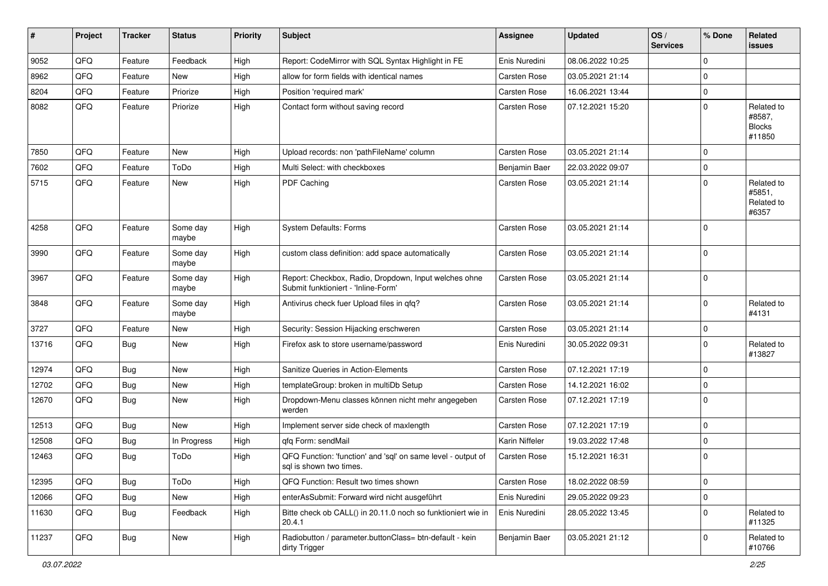| ∦     | Project | <b>Tracker</b> | <b>Status</b>     | <b>Priority</b> | Subject                                                                                      | <b>Assignee</b> | <b>Updated</b>   | OS/<br><b>Services</b> | % Done      | Related<br><b>issues</b>                        |
|-------|---------|----------------|-------------------|-----------------|----------------------------------------------------------------------------------------------|-----------------|------------------|------------------------|-------------|-------------------------------------------------|
| 9052  | QFQ     | Feature        | Feedback          | High            | Report: CodeMirror with SQL Syntax Highlight in FE                                           | Enis Nuredini   | 08.06.2022 10:25 |                        | $\mathbf 0$ |                                                 |
| 8962  | QFQ     | Feature        | New               | High            | allow for form fields with identical names                                                   | Carsten Rose    | 03.05.2021 21:14 |                        | 0           |                                                 |
| 8204  | QFQ     | Feature        | Priorize          | High            | Position 'required mark'                                                                     | Carsten Rose    | 16.06.2021 13:44 |                        | 0           |                                                 |
| 8082  | QFQ     | Feature        | Priorize          | High            | Contact form without saving record                                                           | Carsten Rose    | 07.12.2021 15:20 |                        | $\Omega$    | Related to<br>#8587,<br><b>Blocks</b><br>#11850 |
| 7850  | QFQ     | Feature        | <b>New</b>        | High            | Upload records: non 'pathFileName' column                                                    | Carsten Rose    | 03.05.2021 21:14 |                        | $\Omega$    |                                                 |
| 7602  | QFQ     | Feature        | ToDo              | High            | Multi Select: with checkboxes                                                                | Benjamin Baer   | 22.03.2022 09:07 |                        | 0           |                                                 |
| 5715  | QFQ     | Feature        | New               | High            | PDF Caching                                                                                  | Carsten Rose    | 03.05.2021 21:14 |                        | 0           | Related to<br>#5851,<br>Related to<br>#6357     |
| 4258  | QFQ     | Feature        | Some day<br>maybe | High            | System Defaults: Forms                                                                       | Carsten Rose    | 03.05.2021 21:14 |                        | $\Omega$    |                                                 |
| 3990  | QFQ     | Feature        | Some day<br>maybe | High            | custom class definition: add space automatically                                             | Carsten Rose    | 03.05.2021 21:14 |                        | $\Omega$    |                                                 |
| 3967  | QFQ     | Feature        | Some day<br>maybe | High            | Report: Checkbox, Radio, Dropdown, Input welches ohne<br>Submit funktioniert - 'Inline-Form' | Carsten Rose    | 03.05.2021 21:14 |                        | $\Omega$    |                                                 |
| 3848  | QFQ     | Feature        | Some day<br>maybe | High            | Antivirus check fuer Upload files in qfq?                                                    | Carsten Rose    | 03.05.2021 21:14 |                        | 0           | Related to<br>#4131                             |
| 3727  | QFQ     | Feature        | New               | High            | Security: Session Hijacking erschweren                                                       | Carsten Rose    | 03.05.2021 21:14 |                        | 0           |                                                 |
| 13716 | QFQ     | Bug            | New               | High            | Firefox ask to store username/password                                                       | Enis Nuredini   | 30.05.2022 09:31 |                        | 0           | Related to<br>#13827                            |
| 12974 | QFQ     | Bug            | <b>New</b>        | High            | Sanitize Queries in Action-Elements                                                          | Carsten Rose    | 07.12.2021 17:19 |                        | $\Omega$    |                                                 |
| 12702 | QFQ     | <b>Bug</b>     | <b>New</b>        | High            | templateGroup: broken in multiDb Setup                                                       | Carsten Rose    | 14.12.2021 16:02 |                        | 0           |                                                 |
| 12670 | QFQ     | Bug            | New               | High            | Dropdown-Menu classes können nicht mehr angegeben<br>werden                                  | Carsten Rose    | 07.12.2021 17:19 |                        | 0           |                                                 |
| 12513 | QFQ     | Bug            | <b>New</b>        | High            | Implement server side check of maxlength                                                     | Carsten Rose    | 07.12.2021 17:19 |                        | 0           |                                                 |
| 12508 | QFQ     | <b>Bug</b>     | In Progress       | High            | qfq Form: sendMail                                                                           | Karin Niffeler  | 19.03.2022 17:48 |                        | 0           |                                                 |
| 12463 | QFQ     | Bug            | ToDo              | High            | QFQ Function: 'function' and 'sql' on same level - output of<br>sql is shown two times.      | Carsten Rose    | 15.12.2021 16:31 |                        | 0           |                                                 |
| 12395 | QFQ     | <b>Bug</b>     | ToDo              | High            | QFQ Function: Result two times shown                                                         | Carsten Rose    | 18.02.2022 08:59 |                        | 0           |                                                 |
| 12066 | QFQ     | <b>Bug</b>     | New               | High            | enterAsSubmit: Forward wird nicht ausgeführt                                                 | Enis Nuredini   | 29.05.2022 09:23 |                        | 0           |                                                 |
| 11630 | QFQ     | <b>Bug</b>     | Feedback          | High            | Bitte check ob CALL() in 20.11.0 noch so funktioniert wie in<br>20.4.1                       | Enis Nuredini   | 28.05.2022 13:45 |                        | 0           | Related to<br>#11325                            |
| 11237 | QFQ     | <b>Bug</b>     | New               | High            | Radiobutton / parameter.buttonClass= btn-default - kein<br>dirty Trigger                     | Benjamin Baer   | 03.05.2021 21:12 |                        | $\pmb{0}$   | Related to<br>#10766                            |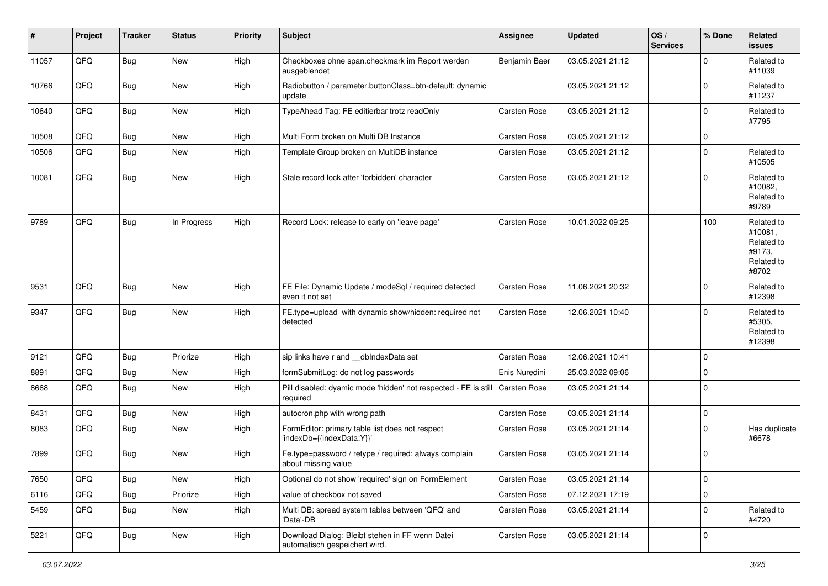| #     | Project | <b>Tracker</b> | <b>Status</b> | <b>Priority</b> | <b>Subject</b>                                                                   | <b>Assignee</b> | <b>Updated</b>   | OS/<br><b>Services</b> | % Done   | Related<br><b>issues</b>                                             |
|-------|---------|----------------|---------------|-----------------|----------------------------------------------------------------------------------|-----------------|------------------|------------------------|----------|----------------------------------------------------------------------|
| 11057 | QFQ     | <b>Bug</b>     | <b>New</b>    | High            | Checkboxes ohne span.checkmark im Report werden<br>ausgeblendet                  | Benjamin Baer   | 03.05.2021 21:12 |                        | 0        | Related to<br>#11039                                                 |
| 10766 | QFQ     | Bug            | <b>New</b>    | High            | Radiobutton / parameter.buttonClass=btn-default: dynamic<br>update               |                 | 03.05.2021 21:12 |                        | 0        | Related to<br>#11237                                                 |
| 10640 | QFQ     | <b>Bug</b>     | <b>New</b>    | High            | TypeAhead Tag: FE editierbar trotz readOnly                                      | Carsten Rose    | 03.05.2021 21:12 |                        | 0        | Related to<br>#7795                                                  |
| 10508 | QFQ     | <b>Bug</b>     | New           | High            | Multi Form broken on Multi DB Instance                                           | Carsten Rose    | 03.05.2021 21:12 |                        | 0        |                                                                      |
| 10506 | QFQ     | Bug            | New           | High            | Template Group broken on MultiDB instance                                        | Carsten Rose    | 03.05.2021 21:12 |                        | 0        | Related to<br>#10505                                                 |
| 10081 | QFQ     | <b>Bug</b>     | New           | High            | Stale record lock after 'forbidden' character                                    | Carsten Rose    | 03.05.2021 21:12 |                        | 0        | Related to<br>#10082,<br>Related to<br>#9789                         |
| 9789  | QFQ     | Bug            | In Progress   | High            | Record Lock: release to early on 'leave page'                                    | Carsten Rose    | 10.01.2022 09:25 |                        | 100      | Related to<br>#10081.<br>Related to<br>#9173,<br>Related to<br>#8702 |
| 9531  | QFQ     | Bug            | New           | High            | FE File: Dynamic Update / modeSql / required detected<br>even it not set         | Carsten Rose    | 11.06.2021 20:32 |                        | 0        | Related to<br>#12398                                                 |
| 9347  | QFQ     | <b>Bug</b>     | New           | High            | FE.type=upload with dynamic show/hidden: required not<br>detected                | Carsten Rose    | 12.06.2021 10:40 |                        | 0        | Related to<br>#5305,<br>Related to<br>#12398                         |
| 9121  | QFQ     | <b>Bug</b>     | Priorize      | High            | sip links have r and __dbIndexData set                                           | Carsten Rose    | 12.06.2021 10:41 |                        | 0        |                                                                      |
| 8891  | QFQ     | <b>Bug</b>     | <b>New</b>    | High            | formSubmitLog: do not log passwords                                              | Enis Nuredini   | 25.03.2022 09:06 |                        | 0        |                                                                      |
| 8668  | QFQ     | Bug            | New           | High            | Pill disabled: dyamic mode 'hidden' not respected - FE is still<br>required      | Carsten Rose    | 03.05.2021 21:14 |                        | $\Omega$ |                                                                      |
| 8431  | QFQ     | <b>Bug</b>     | <b>New</b>    | High            | autocron.php with wrong path                                                     | Carsten Rose    | 03.05.2021 21:14 |                        | 0        |                                                                      |
| 8083  | QFQ     | Bug            | <b>New</b>    | High            | FormEditor: primary table list does not respect<br>'indexDb={{indexData:Y}}'     | Carsten Rose    | 03.05.2021 21:14 |                        | 0        | Has duplicate<br>#6678                                               |
| 7899  | QFQ     | <b>Bug</b>     | <b>New</b>    | High            | Fe.type=password / retype / required: always complain<br>about missing value     | Carsten Rose    | 03.05.2021 21:14 |                        | 0        |                                                                      |
| 7650  | QFQ     | <b>Bug</b>     | New           | High            | Optional do not show 'required' sign on FormElement                              | Carsten Rose    | 03.05.2021 21:14 |                        | 0        |                                                                      |
| 6116  | QFQ     | <b>Bug</b>     | Priorize      | High            | value of checkbox not saved                                                      | Carsten Rose    | 07.12.2021 17:19 |                        | 0        |                                                                      |
| 5459  | QFQ     | <b>Bug</b>     | <b>New</b>    | High            | Multi DB: spread system tables between 'QFQ' and<br>'Data'-DB                    | Carsten Rose    | 03.05.2021 21:14 |                        | 0        | Related to<br>#4720                                                  |
| 5221  | QFQ     | <b>Bug</b>     | New           | High            | Download Dialog: Bleibt stehen in FF wenn Datei<br>automatisch gespeichert wird. | Carsten Rose    | 03.05.2021 21:14 |                        | 0        |                                                                      |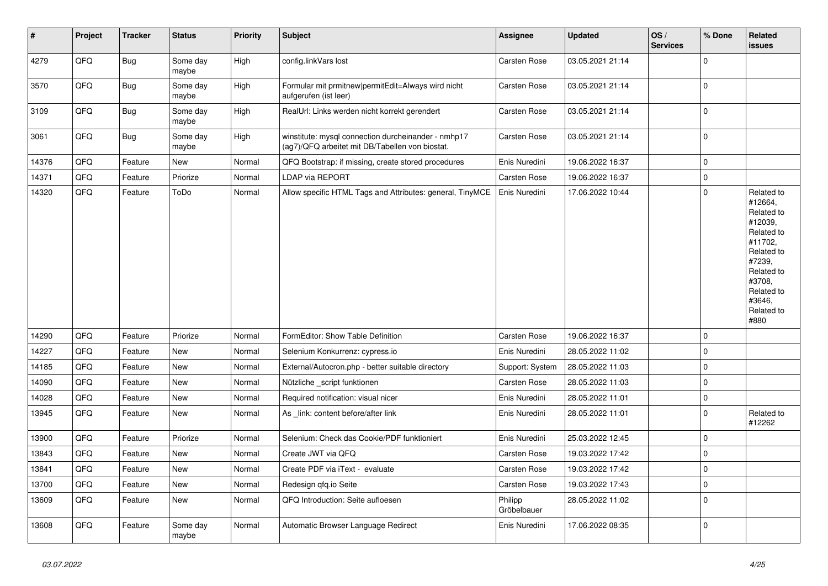| $\vert$ # | Project | <b>Tracker</b> | <b>Status</b>     | <b>Priority</b> | <b>Subject</b>                                                                                         | Assignee               | <b>Updated</b>   | OS/<br><b>Services</b> | % Done      | Related<br>issues                                                                                                                                                     |
|-----------|---------|----------------|-------------------|-----------------|--------------------------------------------------------------------------------------------------------|------------------------|------------------|------------------------|-------------|-----------------------------------------------------------------------------------------------------------------------------------------------------------------------|
| 4279      | QFQ     | Bug            | Some day<br>maybe | High            | config.linkVars lost                                                                                   | Carsten Rose           | 03.05.2021 21:14 |                        | $\Omega$    |                                                                                                                                                                       |
| 3570      | QFQ     | Bug            | Some day<br>maybe | High            | Formular mit prmitnew permitEdit=Always wird nicht<br>aufgerufen (ist leer)                            | Carsten Rose           | 03.05.2021 21:14 |                        | $\pmb{0}$   |                                                                                                                                                                       |
| 3109      | QFQ     | <b>Bug</b>     | Some day<br>maybe | High            | RealUrl: Links werden nicht korrekt gerendert                                                          | Carsten Rose           | 03.05.2021 21:14 |                        | $\pmb{0}$   |                                                                                                                                                                       |
| 3061      | QFQ     | <b>Bug</b>     | Some day<br>maybe | High            | winstitute: mysql connection durcheinander - nmhp17<br>(ag7)/QFQ arbeitet mit DB/Tabellen von biostat. | Carsten Rose           | 03.05.2021 21:14 |                        | $\mathbf 0$ |                                                                                                                                                                       |
| 14376     | QFQ     | Feature        | <b>New</b>        | Normal          | QFQ Bootstrap: if missing, create stored procedures                                                    | Enis Nuredini          | 19.06.2022 16:37 |                        | 0           |                                                                                                                                                                       |
| 14371     | QFQ     | Feature        | Priorize          | Normal          | LDAP via REPORT                                                                                        | Carsten Rose           | 19.06.2022 16:37 |                        | $\pmb{0}$   |                                                                                                                                                                       |
| 14320     | QFQ     | Feature        | ToDo              | Normal          | Allow specific HTML Tags and Attributes: general, TinyMCE                                              | Enis Nuredini          | 17.06.2022 10:44 |                        | $\pmb{0}$   | Related to<br>#12664,<br>Related to<br>#12039,<br>Related to<br>#11702,<br>Related to<br>#7239,<br>Related to<br>#3708,<br>Related to<br>#3646,<br>Related to<br>#880 |
| 14290     | QFQ     | Feature        | Priorize          | Normal          | FormEditor: Show Table Definition                                                                      | Carsten Rose           | 19.06.2022 16:37 |                        | $\mathbf 0$ |                                                                                                                                                                       |
| 14227     | QFQ     | Feature        | <b>New</b>        | Normal          | Selenium Konkurrenz: cypress.io                                                                        | Enis Nuredini          | 28.05.2022 11:02 |                        | $\pmb{0}$   |                                                                                                                                                                       |
| 14185     | QFQ     | Feature        | <b>New</b>        | Normal          | External/Autocron.php - better suitable directory                                                      | Support: System        | 28.05.2022 11:03 |                        | $\pmb{0}$   |                                                                                                                                                                       |
| 14090     | QFQ     | Feature        | <b>New</b>        | Normal          | Nützliche _script funktionen                                                                           | <b>Carsten Rose</b>    | 28.05.2022 11:03 |                        | $\pmb{0}$   |                                                                                                                                                                       |
| 14028     | QFQ     | Feature        | <b>New</b>        | Normal          | Required notification: visual nicer                                                                    | Enis Nuredini          | 28.05.2022 11:01 |                        | $\pmb{0}$   |                                                                                                                                                                       |
| 13945     | QFQ     | Feature        | New               | Normal          | As _link: content before/after link                                                                    | Enis Nuredini          | 28.05.2022 11:01 |                        | $\pmb{0}$   | Related to<br>#12262                                                                                                                                                  |
| 13900     | QFQ     | Feature        | Priorize          | Normal          | Selenium: Check das Cookie/PDF funktioniert                                                            | Enis Nuredini          | 25.03.2022 12:45 |                        | $\mathbf 0$ |                                                                                                                                                                       |
| 13843     | QFQ     | Feature        | <b>New</b>        | Normal          | Create JWT via QFQ                                                                                     | Carsten Rose           | 19.03.2022 17:42 |                        | $\pmb{0}$   |                                                                                                                                                                       |
| 13841     | QFQ     | Feature        | <b>New</b>        | Normal          | Create PDF via iText - evaluate                                                                        | Carsten Rose           | 19.03.2022 17:42 |                        | $\mathbf 0$ |                                                                                                                                                                       |
| 13700     | QFQ     | Feature        | <b>New</b>        | Normal          | Redesign qfq.io Seite                                                                                  | Carsten Rose           | 19.03.2022 17:43 |                        | 0           |                                                                                                                                                                       |
| 13609     | QFQ     | Feature        | New               | Normal          | QFQ Introduction: Seite aufloesen                                                                      | Philipp<br>Gröbelbauer | 28.05.2022 11:02 |                        | $\pmb{0}$   |                                                                                                                                                                       |
| 13608     | QFQ     | Feature        | Some day<br>maybe | Normal          | Automatic Browser Language Redirect                                                                    | Enis Nuredini          | 17.06.2022 08:35 |                        | $\mathbf 0$ |                                                                                                                                                                       |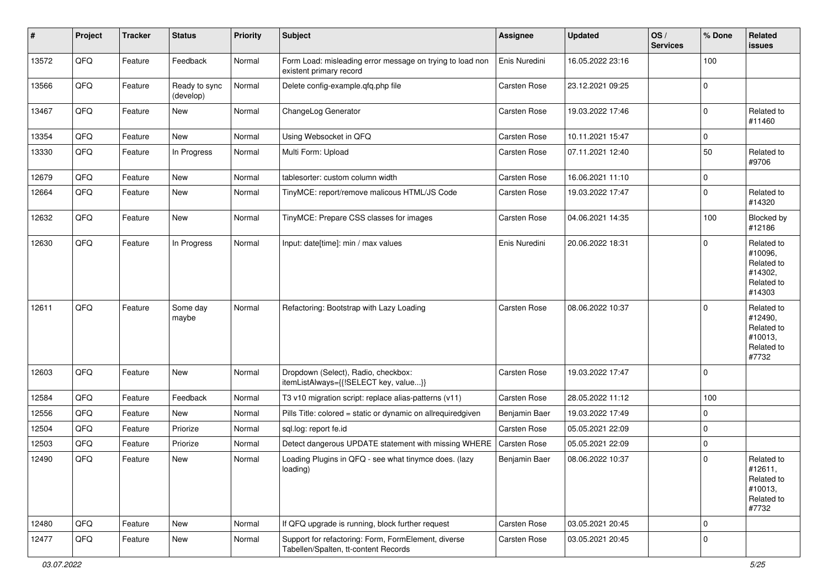| #     | Project | <b>Tracker</b> | <b>Status</b>              | <b>Priority</b> | <b>Subject</b>                                                                              | <b>Assignee</b>     | <b>Updated</b>   | OS/<br><b>Services</b> | % Done      | Related<br>issues                                                      |
|-------|---------|----------------|----------------------------|-----------------|---------------------------------------------------------------------------------------------|---------------------|------------------|------------------------|-------------|------------------------------------------------------------------------|
| 13572 | QFQ     | Feature        | Feedback                   | Normal          | Form Load: misleading error message on trying to load non<br>existent primary record        | Enis Nuredini       | 16.05.2022 23:16 |                        | 100         |                                                                        |
| 13566 | QFQ     | Feature        | Ready to sync<br>(develop) | Normal          | Delete config-example.qfq.php file                                                          | Carsten Rose        | 23.12.2021 09:25 |                        | 0           |                                                                        |
| 13467 | QFQ     | Feature        | New                        | Normal          | ChangeLog Generator                                                                         | Carsten Rose        | 19.03.2022 17:46 |                        | $\mathbf 0$ | Related to<br>#11460                                                   |
| 13354 | QFQ     | Feature        | New                        | Normal          | Using Websocket in QFQ                                                                      | <b>Carsten Rose</b> | 10.11.2021 15:47 |                        | 0           |                                                                        |
| 13330 | QFQ     | Feature        | In Progress                | Normal          | Multi Form: Upload                                                                          | Carsten Rose        | 07.11.2021 12:40 |                        | 50          | Related to<br>#9706                                                    |
| 12679 | QFQ     | Feature        | New                        | Normal          | tablesorter: custom column width                                                            | Carsten Rose        | 16.06.2021 11:10 |                        | 0           |                                                                        |
| 12664 | QFQ     | Feature        | New                        | Normal          | TinyMCE: report/remove malicous HTML/JS Code                                                | Carsten Rose        | 19.03.2022 17:47 |                        | $\mathbf 0$ | Related to<br>#14320                                                   |
| 12632 | QFQ     | Feature        | New                        | Normal          | TinyMCE: Prepare CSS classes for images                                                     | Carsten Rose        | 04.06.2021 14:35 |                        | 100         | Blocked by<br>#12186                                                   |
| 12630 | QFQ     | Feature        | In Progress                | Normal          | Input: date[time]: min / max values                                                         | Enis Nuredini       | 20.06.2022 18:31 |                        | $\mathbf 0$ | Related to<br>#10096,<br>Related to<br>#14302,<br>Related to<br>#14303 |
| 12611 | QFQ     | Feature        | Some day<br>maybe          | Normal          | Refactoring: Bootstrap with Lazy Loading                                                    | <b>Carsten Rose</b> | 08.06.2022 10:37 |                        | $\mathbf 0$ | Related to<br>#12490,<br>Related to<br>#10013,<br>Related to<br>#7732  |
| 12603 | QFQ     | Feature        | New                        | Normal          | Dropdown (Select), Radio, checkbox:<br>itemListAlways={{!SELECT key, value}}                | Carsten Rose        | 19.03.2022 17:47 |                        | 0           |                                                                        |
| 12584 | QFQ     | Feature        | Feedback                   | Normal          | T3 v10 migration script: replace alias-patterns (v11)                                       | Carsten Rose        | 28.05.2022 11:12 |                        | 100         |                                                                        |
| 12556 | QFQ     | Feature        | New                        | Normal          | Pills Title: colored = static or dynamic on allrequiredgiven                                | Benjamin Baer       | 19.03.2022 17:49 |                        | 0           |                                                                        |
| 12504 | QFQ     | Feature        | Priorize                   | Normal          | sql.log: report fe.id                                                                       | Carsten Rose        | 05.05.2021 22:09 |                        | $\mathbf 0$ |                                                                        |
| 12503 | QFQ     | Feature        | Priorize                   | Normal          | Detect dangerous UPDATE statement with missing WHERE                                        | Carsten Rose        | 05.05.2021 22:09 |                        | 0           |                                                                        |
| 12490 | QFQ     | Feature        | New                        | Normal          | Loading Plugins in QFQ - see what tinymce does. (lazy<br>loading)                           | Benjamin Baer       | 08.06.2022 10:37 |                        | $\mathbf 0$ | Related to<br>#12611,<br>Related to<br>#10013,<br>Related to<br>#7732  |
| 12480 | QFQ     | Feature        | New                        | Normal          | If QFQ upgrade is running, block further request                                            | Carsten Rose        | 03.05.2021 20:45 |                        | $\mathbf 0$ |                                                                        |
| 12477 | QFQ     | Feature        | New                        | Normal          | Support for refactoring: Form, FormElement, diverse<br>Tabellen/Spalten, tt-content Records | Carsten Rose        | 03.05.2021 20:45 |                        | $\mathbf 0$ |                                                                        |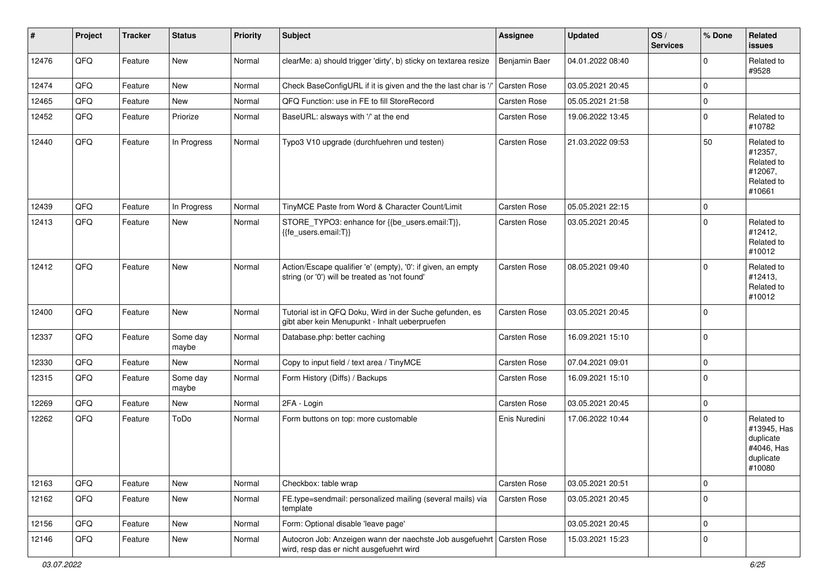| $\vert$ # | Project | <b>Tracker</b> | <b>Status</b>     | <b>Priority</b> | <b>Subject</b>                                                                                                      | <b>Assignee</b>     | <b>Updated</b>   | OS/<br><b>Services</b> | % Done              | Related<br><b>issues</b>                                                    |
|-----------|---------|----------------|-------------------|-----------------|---------------------------------------------------------------------------------------------------------------------|---------------------|------------------|------------------------|---------------------|-----------------------------------------------------------------------------|
| 12476     | QFQ     | Feature        | New               | Normal          | clearMe: a) should trigger 'dirty', b) sticky on textarea resize                                                    | Benjamin Baer       | 04.01.2022 08:40 |                        | $\Omega$            | Related to<br>#9528                                                         |
| 12474     | QFQ     | Feature        | New               | Normal          | Check BaseConfigURL if it is given and the the last char is '/'                                                     | <b>Carsten Rose</b> | 03.05.2021 20:45 |                        | $\mathbf 0$         |                                                                             |
| 12465     | QFQ     | Feature        | New               | Normal          | QFQ Function: use in FE to fill StoreRecord                                                                         | Carsten Rose        | 05.05.2021 21:58 |                        | 0                   |                                                                             |
| 12452     | QFQ     | Feature        | Priorize          | Normal          | BaseURL: alsways with '/' at the end                                                                                | Carsten Rose        | 19.06.2022 13:45 |                        | 0                   | Related to<br>#10782                                                        |
| 12440     | QFQ     | Feature        | In Progress       | Normal          | Typo3 V10 upgrade (durchfuehren und testen)                                                                         | Carsten Rose        | 21.03.2022 09:53 |                        | 50                  | Related to<br>#12357,<br>Related to<br>#12067,<br>Related to<br>#10661      |
| 12439     | QFQ     | Feature        | In Progress       | Normal          | TinyMCE Paste from Word & Character Count/Limit                                                                     | <b>Carsten Rose</b> | 05.05.2021 22:15 |                        | $\mathbf 0$         |                                                                             |
| 12413     | QFQ     | Feature        | New               | Normal          | STORE_TYPO3: enhance for {{be_users.email:T}},<br>{{fe_users.email:T}}                                              | Carsten Rose        | 03.05.2021 20:45 |                        | 0                   | Related to<br>#12412,<br>Related to<br>#10012                               |
| 12412     | QFQ     | Feature        | New               | Normal          | Action/Escape qualifier 'e' (empty), '0': if given, an empty<br>string (or '0') will be treated as 'not found'      | Carsten Rose        | 08.05.2021 09:40 |                        | $\mathbf 0$         | Related to<br>#12413,<br>Related to<br>#10012                               |
| 12400     | QFQ     | Feature        | New               | Normal          | Tutorial ist in QFQ Doku, Wird in der Suche gefunden, es<br>gibt aber kein Menupunkt - Inhalt ueberpruefen          | Carsten Rose        | 03.05.2021 20:45 |                        | 0                   |                                                                             |
| 12337     | QFQ     | Feature        | Some day<br>maybe | Normal          | Database.php: better caching                                                                                        | Carsten Rose        | 16.09.2021 15:10 |                        | $\mathbf 0$         |                                                                             |
| 12330     | QFQ     | Feature        | <b>New</b>        | Normal          | Copy to input field / text area / TinyMCE                                                                           | <b>Carsten Rose</b> | 07.04.2021 09:01 |                        | $\mathsf{O}\xspace$ |                                                                             |
| 12315     | QFQ     | Feature        | Some day<br>maybe | Normal          | Form History (Diffs) / Backups                                                                                      | Carsten Rose        | 16.09.2021 15:10 |                        | $\mathbf 0$         |                                                                             |
| 12269     | QFQ     | Feature        | <b>New</b>        | Normal          | 2FA - Login                                                                                                         | Carsten Rose        | 03.05.2021 20:45 |                        | 0                   |                                                                             |
| 12262     | QFQ     | Feature        | ToDo              | Normal          | Form buttons on top: more customable                                                                                | Enis Nuredini       | 17.06.2022 10:44 |                        | 0                   | Related to<br>#13945, Has<br>duplicate<br>#4046, Has<br>duplicate<br>#10080 |
| 12163     | QFQ     | Feature        | New               | Normal          | Checkbox: table wrap                                                                                                | Carsten Rose        | 03.05.2021 20:51 |                        | $\mathbf 0$         |                                                                             |
| 12162     | QFQ     | Feature        | New               | Normal          | FE.type=sendmail: personalized mailing (several mails) via<br>template                                              | Carsten Rose        | 03.05.2021 20:45 |                        | $\mathbf 0$         |                                                                             |
| 12156     | QFQ     | Feature        | New               | Normal          | Form: Optional disable 'leave page'                                                                                 |                     | 03.05.2021 20:45 |                        | $\mathsf{O}\xspace$ |                                                                             |
| 12146     | QFQ     | Feature        | New               | Normal          | Autocron Job: Anzeigen wann der naechste Job ausgefuehrt   Carsten Rose<br>wird, resp das er nicht ausgefuehrt wird |                     | 15.03.2021 15:23 |                        | $\mathbf 0$         |                                                                             |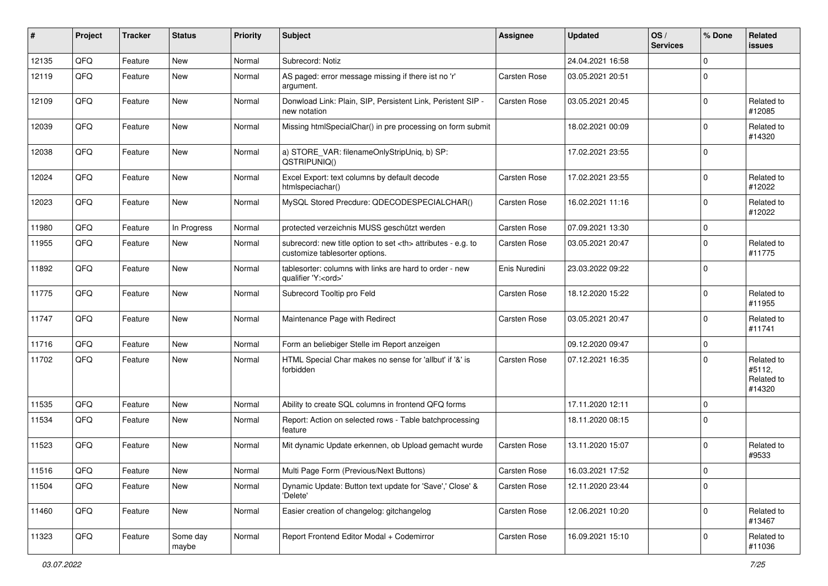| #     | Project    | <b>Tracker</b> | <b>Status</b>     | <b>Priority</b> | <b>Subject</b>                                                                                       | <b>Assignee</b>                                        | <b>Updated</b>   | OS/<br><b>Services</b> | % Done      | Related<br><b>issues</b>                     |                      |
|-------|------------|----------------|-------------------|-----------------|------------------------------------------------------------------------------------------------------|--------------------------------------------------------|------------------|------------------------|-------------|----------------------------------------------|----------------------|
| 12135 | QFQ        | Feature        | <b>New</b>        | Normal          | Subrecord: Notiz                                                                                     |                                                        | 24.04.2021 16:58 |                        | $\Omega$    |                                              |                      |
| 12119 | QFQ        | Feature        | New               | Normal          | AS paged: error message missing if there ist no 'r'<br>argument.                                     | Carsten Rose                                           | 03.05.2021 20:51 |                        | 0           |                                              |                      |
| 12109 | QFQ        | Feature        | New               | Normal          | Donwload Link: Plain, SIP, Persistent Link, Peristent SIP -<br>new notation                          | Carsten Rose                                           | 03.05.2021 20:45 |                        | 0           | Related to<br>#12085                         |                      |
| 12039 | QFQ        | Feature        | <b>New</b>        | Normal          | Missing htmlSpecialChar() in pre processing on form submit                                           |                                                        | 18.02.2021 00:09 |                        | 0           | Related to<br>#14320                         |                      |
| 12038 | QFQ        | Feature        | New               | Normal          | a) STORE_VAR: filenameOnlyStripUniq, b) SP:<br>QSTRIPUNIQ()                                          |                                                        | 17.02.2021 23:55 |                        | $\Omega$    |                                              |                      |
| 12024 | QFQ        | Feature        | New               | Normal          | Excel Export: text columns by default decode<br>htmlspeciachar()                                     | Carsten Rose                                           | 17.02.2021 23:55 |                        | $\Omega$    | Related to<br>#12022                         |                      |
| 12023 | QFQ        | Feature        | New               | Normal          | MySQL Stored Precdure: QDECODESPECIALCHAR()                                                          | Carsten Rose                                           | 16.02.2021 11:16 |                        | 0           | Related to<br>#12022                         |                      |
| 11980 | QFQ        | Feature        | In Progress       | Normal          | protected verzeichnis MUSS geschützt werden                                                          | Carsten Rose                                           | 07.09.2021 13:30 |                        | 0           |                                              |                      |
| 11955 | QFQ        | Feature        | <b>New</b>        | Normal          | subrecord: new title option to set <th> attributes - e.g. to<br/>customize tablesorter options.</th> | attributes - e.g. to<br>customize tablesorter options. | Carsten Rose     | 03.05.2021 20:47       |             | 0                                            | Related to<br>#11775 |
| 11892 | QFQ        | Feature        | New               | Normal          | tablesorter: columns with links are hard to order - new<br>qualifier 'Y: <ord>'</ord>                | Enis Nuredini                                          | 23.03.2022 09:22 |                        | 0           |                                              |                      |
| 11775 | QFQ        | Feature        | New               | Normal          | Subrecord Tooltip pro Feld                                                                           | Carsten Rose                                           | 18.12.2020 15:22 |                        | $\Omega$    | Related to<br>#11955                         |                      |
| 11747 | QFQ        | Feature        | New               | Normal          | Maintenance Page with Redirect                                                                       | Carsten Rose                                           | 03.05.2021 20:47 |                        | 0           | Related to<br>#11741                         |                      |
| 11716 | QFQ        | Feature        | New               | Normal          | Form an beliebiger Stelle im Report anzeigen                                                         |                                                        | 09.12.2020 09:47 |                        | 0           |                                              |                      |
| 11702 | QFQ        | Feature        | New               | Normal          | HTML Special Char makes no sense for 'allbut' if '&' is<br>forbidden                                 | Carsten Rose                                           | 07.12.2021 16:35 |                        | $\Omega$    | Related to<br>#5112,<br>Related to<br>#14320 |                      |
| 11535 | QFQ        | Feature        | New               | Normal          | Ability to create SQL columns in frontend QFQ forms                                                  |                                                        | 17.11.2020 12:11 |                        | $\mathbf 0$ |                                              |                      |
| 11534 | QFQ        | Feature        | New               | Normal          | Report: Action on selected rows - Table batchprocessing<br>feature                                   |                                                        | 18.11.2020 08:15 |                        | 0           |                                              |                      |
| 11523 | QFQ        | Feature        | New               | Normal          | Mit dynamic Update erkennen, ob Upload gemacht wurde                                                 | Carsten Rose                                           | 13.11.2020 15:07 |                        | 0           | Related to<br>#9533                          |                      |
| 11516 | <b>QFQ</b> | i Feature      | New               | Normal          | Multi Page Form (Previous/Next Buttons)                                                              | Carsten Rose                                           | 16.03.2021 17:52 |                        | $\pmb{0}$   |                                              |                      |
| 11504 | QFQ        | Feature        | New               | Normal          | Dynamic Update: Button text update for 'Save',' Close' &<br>'Delete'                                 | Carsten Rose                                           | 12.11.2020 23:44 |                        | 0           |                                              |                      |
| 11460 | QFQ        | Feature        | New               | Normal          | Easier creation of changelog: gitchangelog                                                           | Carsten Rose                                           | 12.06.2021 10:20 |                        | $\mathbf 0$ | Related to<br>#13467                         |                      |
| 11323 | QFQ        | Feature        | Some day<br>maybe | Normal          | Report Frontend Editor Modal + Codemirror                                                            | Carsten Rose                                           | 16.09.2021 15:10 |                        | 0           | Related to<br>#11036                         |                      |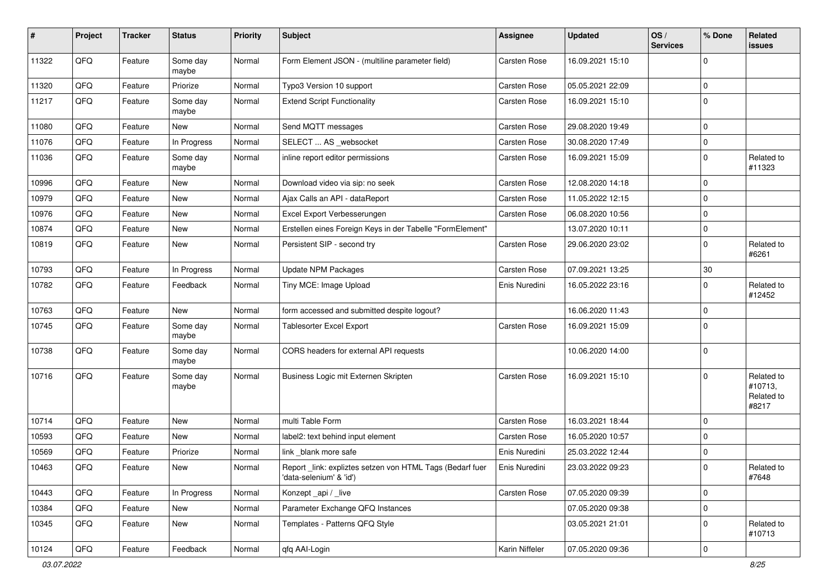| #     | Project | <b>Tracker</b> | <b>Status</b>     | <b>Priority</b> | <b>Subject</b>                                                                      | <b>Assignee</b> | <b>Updated</b>   | OS/<br><b>Services</b> | % Done              | Related<br>issues                            |
|-------|---------|----------------|-------------------|-----------------|-------------------------------------------------------------------------------------|-----------------|------------------|------------------------|---------------------|----------------------------------------------|
| 11322 | QFQ     | Feature        | Some day<br>maybe | Normal          | Form Element JSON - (multiline parameter field)                                     | Carsten Rose    | 16.09.2021 15:10 |                        | 0                   |                                              |
| 11320 | QFQ     | Feature        | Priorize          | Normal          | Typo3 Version 10 support                                                            | Carsten Rose    | 05.05.2021 22:09 |                        | $\mathbf 0$         |                                              |
| 11217 | QFQ     | Feature        | Some day<br>maybe | Normal          | <b>Extend Script Functionality</b>                                                  | Carsten Rose    | 16.09.2021 15:10 |                        | $\Omega$            |                                              |
| 11080 | QFQ     | Feature        | New               | Normal          | Send MQTT messages                                                                  | Carsten Rose    | 29.08.2020 19:49 |                        | $\mathbf 0$         |                                              |
| 11076 | QFQ     | Feature        | In Progress       | Normal          | SELECT  AS _websocket                                                               | Carsten Rose    | 30.08.2020 17:49 |                        | $\mathbf 0$         |                                              |
| 11036 | QFQ     | Feature        | Some day<br>maybe | Normal          | inline report editor permissions                                                    | Carsten Rose    | 16.09.2021 15:09 |                        | $\mathbf 0$         | Related to<br>#11323                         |
| 10996 | QFQ     | Feature        | New               | Normal          | Download video via sip: no seek                                                     | Carsten Rose    | 12.08.2020 14:18 |                        | $\mathbf 0$         |                                              |
| 10979 | QFQ     | Feature        | New               | Normal          | Ajax Calls an API - dataReport                                                      | Carsten Rose    | 11.05.2022 12:15 |                        | $\mathbf 0$         |                                              |
| 10976 | QFQ     | Feature        | <b>New</b>        | Normal          | Excel Export Verbesserungen                                                         | Carsten Rose    | 06.08.2020 10:56 |                        | $\mathbf 0$         |                                              |
| 10874 | QFQ     | Feature        | New               | Normal          | Erstellen eines Foreign Keys in der Tabelle "FormElement"                           |                 | 13.07.2020 10:11 |                        | $\pmb{0}$           |                                              |
| 10819 | QFQ     | Feature        | New               | Normal          | Persistent SIP - second try                                                         | Carsten Rose    | 29.06.2020 23:02 |                        | $\mathbf 0$         | Related to<br>#6261                          |
| 10793 | QFQ     | Feature        | In Progress       | Normal          | <b>Update NPM Packages</b>                                                          | Carsten Rose    | 07.09.2021 13:25 |                        | $30\,$              |                                              |
| 10782 | QFQ     | Feature        | Feedback          | Normal          | Tiny MCE: Image Upload                                                              | Enis Nuredini   | 16.05.2022 23:16 |                        | $\mathbf 0$         | Related to<br>#12452                         |
| 10763 | QFQ     | Feature        | New               | Normal          | form accessed and submitted despite logout?                                         |                 | 16.06.2020 11:43 |                        | $\mathbf 0$         |                                              |
| 10745 | QFQ     | Feature        | Some day<br>maybe | Normal          | Tablesorter Excel Export                                                            | Carsten Rose    | 16.09.2021 15:09 |                        | $\mathbf 0$         |                                              |
| 10738 | QFQ     | Feature        | Some day<br>maybe | Normal          | CORS headers for external API requests                                              |                 | 10.06.2020 14:00 |                        | $\mathbf 0$         |                                              |
| 10716 | QFQ     | Feature        | Some day<br>maybe | Normal          | Business Logic mit Externen Skripten                                                | Carsten Rose    | 16.09.2021 15:10 |                        | $\mathbf 0$         | Related to<br>#10713,<br>Related to<br>#8217 |
| 10714 | QFQ     | Feature        | New               | Normal          | multi Table Form                                                                    | Carsten Rose    | 16.03.2021 18:44 |                        | $\mathbf 0$         |                                              |
| 10593 | QFQ     | Feature        | New               | Normal          | label2: text behind input element                                                   | Carsten Rose    | 16.05.2020 10:57 |                        | 0                   |                                              |
| 10569 | QFQ     | Feature        | Priorize          | Normal          | link blank more safe                                                                | Enis Nuredini   | 25.03.2022 12:44 |                        | $\mathbf 0$         |                                              |
| 10463 | QFQ     | Feature        | New               | Normal          | Report_link: expliztes setzen von HTML Tags (Bedarf fuer<br>'data-selenium' & 'id') | Enis Nuredini   | 23.03.2022 09:23 |                        | $\mathbf 0$         | Related to<br>#7648                          |
| 10443 | QFQ     | Feature        | In Progress       | Normal          | Konzept_api / _live                                                                 | Carsten Rose    | 07.05.2020 09:39 |                        | $\mathsf{O}\xspace$ |                                              |
| 10384 | QFQ     | Feature        | New               | Normal          | Parameter Exchange QFQ Instances                                                    |                 | 07.05.2020 09:38 |                        | $\pmb{0}$           |                                              |
| 10345 | QFQ     | Feature        | New               | Normal          | Templates - Patterns QFQ Style                                                      |                 | 03.05.2021 21:01 |                        | $\pmb{0}$           | Related to<br>#10713                         |
| 10124 | QFQ     | Feature        | Feedback          | Normal          | qfq AAI-Login                                                                       | Karin Niffeler  | 07.05.2020 09:36 |                        | $\pmb{0}$           |                                              |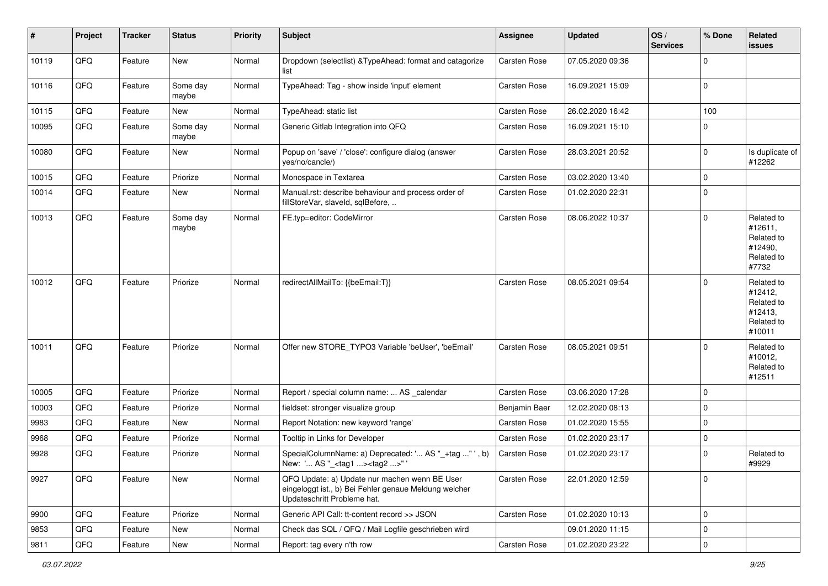| $\sharp$ | Project | <b>Tracker</b> | <b>Status</b>     | <b>Priority</b> | <b>Subject</b>                                                                                                                        | <b>Assignee</b>     | <b>Updated</b>   | OS/<br><b>Services</b> | % Done      | Related<br><b>issues</b>                                               |
|----------|---------|----------------|-------------------|-----------------|---------------------------------------------------------------------------------------------------------------------------------------|---------------------|------------------|------------------------|-------------|------------------------------------------------------------------------|
| 10119    | QFQ     | Feature        | New               | Normal          | Dropdown (selectlist) & TypeAhead: format and catagorize<br>list                                                                      | Carsten Rose        | 07.05.2020 09:36 |                        | $\Omega$    |                                                                        |
| 10116    | QFQ     | Feature        | Some day<br>maybe | Normal          | TypeAhead: Tag - show inside 'input' element                                                                                          | Carsten Rose        | 16.09.2021 15:09 |                        | $\mathbf 0$ |                                                                        |
| 10115    | QFQ     | Feature        | New               | Normal          | TypeAhead: static list                                                                                                                | Carsten Rose        | 26.02.2020 16:42 |                        | 100         |                                                                        |
| 10095    | QFQ     | Feature        | Some day<br>maybe | Normal          | Generic Gitlab Integration into QFQ                                                                                                   | Carsten Rose        | 16.09.2021 15:10 |                        | $\mathbf 0$ |                                                                        |
| 10080    | QFQ     | Feature        | New               | Normal          | Popup on 'save' / 'close': configure dialog (answer<br>yes/no/cancle/)                                                                | Carsten Rose        | 28.03.2021 20:52 |                        | $\mathbf 0$ | Is duplicate of<br>#12262                                              |
| 10015    | QFQ     | Feature        | Priorize          | Normal          | Monospace in Textarea                                                                                                                 | Carsten Rose        | 03.02.2020 13:40 |                        | $\mathbf 0$ |                                                                        |
| 10014    | QFQ     | Feature        | New               | Normal          | Manual.rst: describe behaviour and process order of<br>fillStoreVar, slaveId, sqlBefore,                                              | Carsten Rose        | 01.02.2020 22:31 |                        | $\mathbf 0$ |                                                                        |
| 10013    | QFQ     | Feature        | Some day<br>maybe | Normal          | FE.typ=editor: CodeMirror                                                                                                             | Carsten Rose        | 08.06.2022 10:37 |                        | $\mathbf 0$ | Related to<br>#12611,<br>Related to<br>#12490,<br>Related to<br>#7732  |
| 10012    | QFQ     | Feature        | Priorize          | Normal          | redirectAllMailTo: {{beEmail:T}}                                                                                                      | Carsten Rose        | 08.05.2021 09:54 |                        | $\mathbf 0$ | Related to<br>#12412,<br>Related to<br>#12413,<br>Related to<br>#10011 |
| 10011    | QFQ     | Feature        | Priorize          | Normal          | Offer new STORE_TYPO3 Variable 'beUser', 'beEmail'                                                                                    | Carsten Rose        | 08.05.2021 09:51 |                        | 0           | Related to<br>#10012,<br>Related to<br>#12511                          |
| 10005    | QFQ     | Feature        | Priorize          | Normal          | Report / special column name:  AS _calendar                                                                                           | <b>Carsten Rose</b> | 03.06.2020 17:28 |                        | $\mathbf 0$ |                                                                        |
| 10003    | QFQ     | Feature        | Priorize          | Normal          | fieldset: stronger visualize group                                                                                                    | Benjamin Baer       | 12.02.2020 08:13 |                        | $\mathbf 0$ |                                                                        |
| 9983     | QFQ     | Feature        | New               | Normal          | Report Notation: new keyword 'range'                                                                                                  | Carsten Rose        | 01.02.2020 15:55 |                        | $\mathbf 0$ |                                                                        |
| 9968     | QFQ     | Feature        | Priorize          | Normal          | Tooltip in Links for Developer                                                                                                        | Carsten Rose        | 01.02.2020 23:17 |                        | 0           |                                                                        |
| 9928     | QFQ     | Feature        | Priorize          | Normal          | SpecialColumnName: a) Deprecated: ' AS "_+tag " ', b)<br>New: ' AS "_ <tag1><tag2>"'</tag2></tag1>                                    | Carsten Rose        | 01.02.2020 23:17 |                        | 0           | Related to<br>#9929                                                    |
| 9927     | QFQ     | Feature        | New               | Normal          | QFQ Update: a) Update nur machen wenn BE User<br>eingeloggt ist., b) Bei Fehler genaue Meldung welcher<br>Updateschritt Probleme hat. | Carsten Rose        | 22.01.2020 12:59 |                        | $\mathbf 0$ |                                                                        |
| 9900     | QFQ     | Feature        | Priorize          | Normal          | Generic API Call: tt-content record >> JSON                                                                                           | Carsten Rose        | 01.02.2020 10:13 |                        | $\mathbf 0$ |                                                                        |
| 9853     | QFQ     | Feature        | New               | Normal          | Check das SQL / QFQ / Mail Logfile geschrieben wird                                                                                   |                     | 09.01.2020 11:15 |                        | $\mathbf 0$ |                                                                        |
| 9811     | QFQ     | Feature        | New               | Normal          | Report: tag every n'th row                                                                                                            | Carsten Rose        | 01.02.2020 23:22 |                        | $\pmb{0}$   |                                                                        |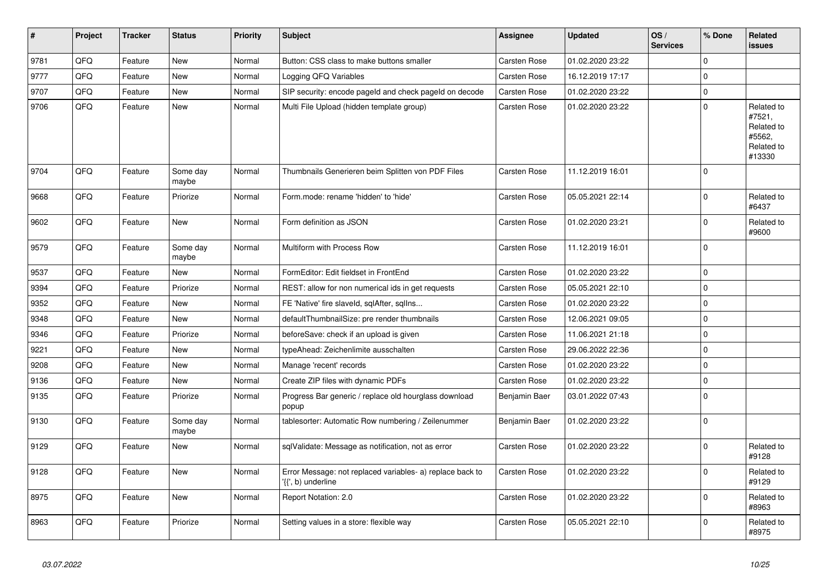| #    | Project | <b>Tracker</b> | <b>Status</b>     | <b>Priority</b> | <b>Subject</b>                                                                  | Assignee            | <b>Updated</b>   | OS/<br><b>Services</b> | % Done      | <b>Related</b><br><b>issues</b>                                      |
|------|---------|----------------|-------------------|-----------------|---------------------------------------------------------------------------------|---------------------|------------------|------------------------|-------------|----------------------------------------------------------------------|
| 9781 | QFQ     | Feature        | <b>New</b>        | Normal          | Button: CSS class to make buttons smaller                                       | Carsten Rose        | 01.02.2020 23:22 |                        | $\Omega$    |                                                                      |
| 9777 | QFQ     | Feature        | <b>New</b>        | Normal          | Logging QFQ Variables                                                           | Carsten Rose        | 16.12.2019 17:17 |                        | $\Omega$    |                                                                      |
| 9707 | QFQ     | Feature        | New               | Normal          | SIP security: encode pageld and check pageld on decode                          | <b>Carsten Rose</b> | 01.02.2020 23:22 |                        | $\mathbf 0$ |                                                                      |
| 9706 | QFQ     | Feature        | New               | Normal          | Multi File Upload (hidden template group)                                       | Carsten Rose        | 01.02.2020 23:22 |                        | $\Omega$    | Related to<br>#7521,<br>Related to<br>#5562,<br>Related to<br>#13330 |
| 9704 | QFQ     | Feature        | Some day<br>maybe | Normal          | Thumbnails Generieren beim Splitten von PDF Files                               | Carsten Rose        | 11.12.2019 16:01 |                        | $\Omega$    |                                                                      |
| 9668 | QFQ     | Feature        | Priorize          | Normal          | Form.mode: rename 'hidden' to 'hide'                                            | Carsten Rose        | 05.05.2021 22:14 |                        | $\mathbf 0$ | Related to<br>#6437                                                  |
| 9602 | QFQ     | Feature        | New               | Normal          | Form definition as JSON                                                         | Carsten Rose        | 01.02.2020 23:21 |                        | $\mathbf 0$ | Related to<br>#9600                                                  |
| 9579 | QFQ     | Feature        | Some day<br>maybe | Normal          | Multiform with Process Row                                                      | Carsten Rose        | 11.12.2019 16:01 |                        | $\Omega$    |                                                                      |
| 9537 | QFQ     | Feature        | <b>New</b>        | Normal          | FormEditor: Edit fieldset in FrontEnd                                           | Carsten Rose        | 01.02.2020 23:22 |                        | $\Omega$    |                                                                      |
| 9394 | QFQ     | Feature        | Priorize          | Normal          | REST: allow for non numerical ids in get requests                               | Carsten Rose        | 05.05.2021 22:10 |                        | $\mathbf 0$ |                                                                      |
| 9352 | QFQ     | Feature        | <b>New</b>        | Normal          | FE 'Native' fire slaveld, sqlAfter, sqlIns                                      | Carsten Rose        | 01.02.2020 23:22 |                        | $\mathbf 0$ |                                                                      |
| 9348 | QFQ     | Feature        | <b>New</b>        | Normal          | defaultThumbnailSize: pre render thumbnails                                     | Carsten Rose        | 12.06.2021 09:05 |                        | $\Omega$    |                                                                      |
| 9346 | QFQ     | Feature        | Priorize          | Normal          | beforeSave: check if an upload is given                                         | Carsten Rose        | 11.06.2021 21:18 |                        | $\mathbf 0$ |                                                                      |
| 9221 | QFQ     | Feature        | <b>New</b>        | Normal          | typeAhead: Zeichenlimite ausschalten                                            | Carsten Rose        | 29.06.2022 22:36 |                        | $\Omega$    |                                                                      |
| 9208 | QFQ     | Feature        | <b>New</b>        | Normal          | Manage 'recent' records                                                         | Carsten Rose        | 01.02.2020 23:22 |                        | $\mathbf 0$ |                                                                      |
| 9136 | QFQ     | Feature        | New               | Normal          | Create ZIP files with dynamic PDFs                                              | <b>Carsten Rose</b> | 01.02.2020 23:22 |                        | 0           |                                                                      |
| 9135 | QFQ     | Feature        | Priorize          | Normal          | Progress Bar generic / replace old hourglass download<br>popup                  | Benjamin Baer       | 03.01.2022 07:43 |                        | $\Omega$    |                                                                      |
| 9130 | QFQ     | Feature        | Some day<br>maybe | Normal          | tablesorter: Automatic Row numbering / Zeilenummer                              | Benjamin Baer       | 01.02.2020 23:22 |                        | $\Omega$    |                                                                      |
| 9129 | QFQ     | Feature        | <b>New</b>        | Normal          | sqlValidate: Message as notification, not as error                              | Carsten Rose        | 01.02.2020 23:22 |                        | $\Omega$    | Related to<br>#9128                                                  |
| 9128 | QFQ     | Feature        | New               | Normal          | Error Message: not replaced variables- a) replace back to<br>'{{', b) underline | Carsten Rose        | 01.02.2020 23:22 |                        | $\mathbf 0$ | Related to<br>#9129                                                  |
| 8975 | QFQ     | Feature        | New               | Normal          | Report Notation: 2.0                                                            | Carsten Rose        | 01.02.2020 23:22 |                        | $\mathbf 0$ | Related to<br>#8963                                                  |
| 8963 | QFQ     | Feature        | Priorize          | Normal          | Setting values in a store: flexible way                                         | Carsten Rose        | 05.05.2021 22:10 |                        | $\Omega$    | Related to<br>#8975                                                  |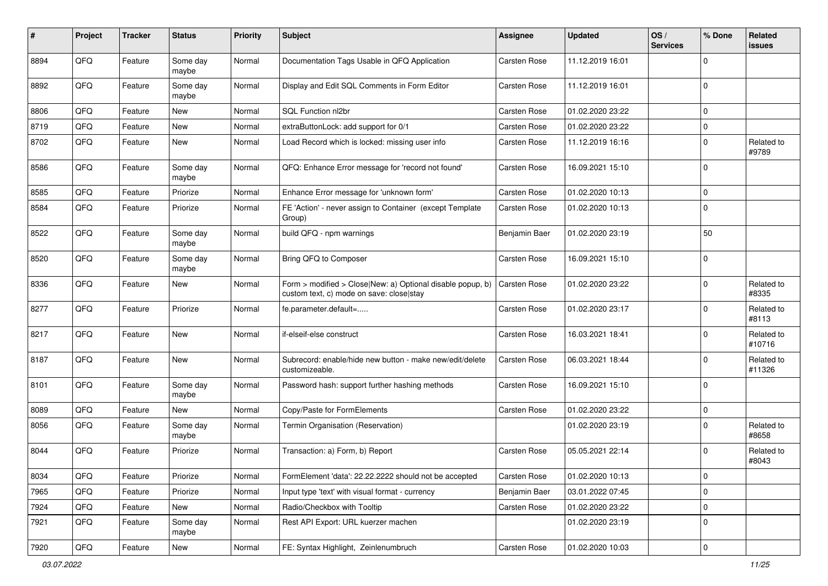| #    | Project | <b>Tracker</b> | <b>Status</b>     | <b>Priority</b> | Subject                                                                                                | <b>Assignee</b> | <b>Updated</b>   | OS/<br><b>Services</b> | % Done              | <b>Related</b><br>issues |
|------|---------|----------------|-------------------|-----------------|--------------------------------------------------------------------------------------------------------|-----------------|------------------|------------------------|---------------------|--------------------------|
| 8894 | QFQ     | Feature        | Some day<br>maybe | Normal          | Documentation Tags Usable in QFQ Application                                                           | Carsten Rose    | 11.12.2019 16:01 |                        | $\mathbf 0$         |                          |
| 8892 | QFQ     | Feature        | Some day<br>maybe | Normal          | Display and Edit SQL Comments in Form Editor                                                           | Carsten Rose    | 11.12.2019 16:01 |                        | $\mathbf 0$         |                          |
| 8806 | QFQ     | Feature        | New               | Normal          | SQL Function nl2br                                                                                     | Carsten Rose    | 01.02.2020 23:22 |                        | $\mathsf{O}\xspace$ |                          |
| 8719 | QFQ     | Feature        | New               | Normal          | extraButtonLock: add support for 0/1                                                                   | Carsten Rose    | 01.02.2020 23:22 |                        | $\mathbf 0$         |                          |
| 8702 | QFQ     | Feature        | New               | Normal          | Load Record which is locked: missing user info                                                         | Carsten Rose    | 11.12.2019 16:16 |                        | $\mathbf 0$         | Related to<br>#9789      |
| 8586 | QFQ     | Feature        | Some day<br>maybe | Normal          | QFQ: Enhance Error message for 'record not found'                                                      | Carsten Rose    | 16.09.2021 15:10 |                        | $\mathbf 0$         |                          |
| 8585 | QFQ     | Feature        | Priorize          | Normal          | Enhance Error message for 'unknown form'                                                               | Carsten Rose    | 01.02.2020 10:13 |                        | $\mathbf 0$         |                          |
| 8584 | QFQ     | Feature        | Priorize          | Normal          | FE 'Action' - never assign to Container (except Template<br>Group)                                     | Carsten Rose    | 01.02.2020 10:13 |                        | $\mathbf 0$         |                          |
| 8522 | QFQ     | Feature        | Some day<br>maybe | Normal          | build QFQ - npm warnings                                                                               | Benjamin Baer   | 01.02.2020 23:19 |                        | 50                  |                          |
| 8520 | QFQ     | Feature        | Some day<br>maybe | Normal          | Bring QFQ to Composer                                                                                  | Carsten Rose    | 16.09.2021 15:10 |                        | $\mathbf 0$         |                          |
| 8336 | QFQ     | Feature        | New               | Normal          | Form > modified > Close New: a) Optional disable popup, b)<br>custom text, c) mode on save: close stay | Carsten Rose    | 01.02.2020 23:22 |                        | $\mathbf 0$         | Related to<br>#8335      |
| 8277 | QFQ     | Feature        | Priorize          | Normal          | fe.parameter.default=                                                                                  | Carsten Rose    | 01.02.2020 23:17 |                        | $\mathbf 0$         | Related to<br>#8113      |
| 8217 | QFQ     | Feature        | New               | Normal          | if-elseif-else construct                                                                               | Carsten Rose    | 16.03.2021 18:41 |                        | $\mathbf 0$         | Related to<br>#10716     |
| 8187 | QFQ     | Feature        | New               | Normal          | Subrecord: enable/hide new button - make new/edit/delete<br>customizeable.                             | Carsten Rose    | 06.03.2021 18:44 |                        | $\mathbf 0$         | Related to<br>#11326     |
| 8101 | QFQ     | Feature        | Some day<br>maybe | Normal          | Password hash: support further hashing methods                                                         | Carsten Rose    | 16.09.2021 15:10 |                        | $\mathbf 0$         |                          |
| 8089 | QFQ     | Feature        | New               | Normal          | Copy/Paste for FormElements                                                                            | Carsten Rose    | 01.02.2020 23:22 |                        | $\mathbf 0$         |                          |
| 8056 | QFQ     | Feature        | Some day<br>maybe | Normal          | Termin Organisation (Reservation)                                                                      |                 | 01.02.2020 23:19 |                        | $\mathbf 0$         | Related to<br>#8658      |
| 8044 | QFQ     | Feature        | Priorize          | Normal          | Transaction: a) Form, b) Report                                                                        | Carsten Rose    | 05.05.2021 22:14 |                        | $\mathbf 0$         | Related to<br>#8043      |
| 8034 | QFQ     | Feature        | Priorize          | Normal          | FormElement 'data': 22.22.2222 should not be accepted                                                  | Carsten Rose    | 01.02.2020 10:13 |                        | 0                   |                          |
| 7965 | QFQ     | Feature        | Priorize          | Normal          | Input type 'text' with visual format - currency                                                        | Benjamin Baer   | 03.01.2022 07:45 |                        | $\mathbf 0$         |                          |
| 7924 | QFQ     | Feature        | New               | Normal          | Radio/Checkbox with Tooltip                                                                            | Carsten Rose    | 01.02.2020 23:22 |                        | $\mathsf 0$         |                          |
| 7921 | QFQ     | Feature        | Some day<br>maybe | Normal          | Rest API Export: URL kuerzer machen                                                                    |                 | 01.02.2020 23:19 |                        | $\mathbf 0$         |                          |
| 7920 | QFG     | Feature        | New               | Normal          | FE: Syntax Highlight, Zeinlenumbruch                                                                   | Carsten Rose    | 01.02.2020 10:03 |                        | $\pmb{0}$           |                          |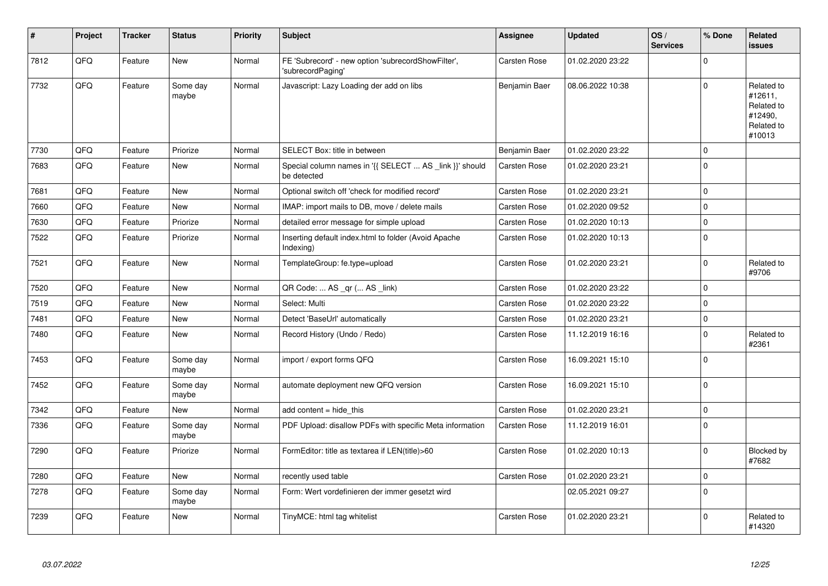| #    | Project | <b>Tracker</b> | <b>Status</b>     | <b>Priority</b> | <b>Subject</b>                                                          | Assignee      | <b>Updated</b>   | OS/<br><b>Services</b> | % Done      | Related<br>issues                                                      |
|------|---------|----------------|-------------------|-----------------|-------------------------------------------------------------------------|---------------|------------------|------------------------|-------------|------------------------------------------------------------------------|
| 7812 | QFQ     | Feature        | <b>New</b>        | Normal          | FE 'Subrecord' - new option 'subrecordShowFilter',<br>'subrecordPaging' | Carsten Rose  | 01.02.2020 23:22 |                        | $\Omega$    |                                                                        |
| 7732 | QFQ     | Feature        | Some dav<br>maybe | Normal          | Javascript: Lazy Loading der add on libs                                | Benjamin Baer | 08.06.2022 10:38 |                        | 0           | Related to<br>#12611,<br>Related to<br>#12490,<br>Related to<br>#10013 |
| 7730 | QFQ     | Feature        | Priorize          | Normal          | SELECT Box: title in between                                            | Benjamin Baer | 01.02.2020 23:22 |                        | $\mathbf 0$ |                                                                        |
| 7683 | QFQ     | Feature        | New               | Normal          | Special column names in '{{ SELECT  AS _link }}' should<br>be detected  | Carsten Rose  | 01.02.2020 23:21 |                        | $\mathbf 0$ |                                                                        |
| 7681 | QFQ     | Feature        | New               | Normal          | Optional switch off 'check for modified record'                         | Carsten Rose  | 01.02.2020 23:21 |                        | $\pmb{0}$   |                                                                        |
| 7660 | QFQ     | Feature        | <b>New</b>        | Normal          | IMAP: import mails to DB, move / delete mails                           | Carsten Rose  | 01.02.2020 09:52 |                        | $\mathbf 0$ |                                                                        |
| 7630 | QFQ     | Feature        | Priorize          | Normal          | detailed error message for simple upload                                | Carsten Rose  | 01.02.2020 10:13 |                        | $\pmb{0}$   |                                                                        |
| 7522 | QFQ     | Feature        | Priorize          | Normal          | Inserting default index.html to folder (Avoid Apache<br>Indexing)       | Carsten Rose  | 01.02.2020 10:13 |                        | $\mathbf 0$ |                                                                        |
| 7521 | QFQ     | Feature        | <b>New</b>        | Normal          | TemplateGroup: fe.type=upload                                           | Carsten Rose  | 01.02.2020 23:21 |                        | $\mathbf 0$ | Related to<br>#9706                                                    |
| 7520 | QFQ     | Feature        | <b>New</b>        | Normal          | QR Code:  AS _qr ( AS _link)                                            | Carsten Rose  | 01.02.2020 23:22 |                        | $\mathbf 0$ |                                                                        |
| 7519 | QFQ     | Feature        | <b>New</b>        | Normal          | Select: Multi                                                           | Carsten Rose  | 01.02.2020 23:22 |                        | $\mathbf 0$ |                                                                        |
| 7481 | QFQ     | Feature        | New               | Normal          | Detect 'BaseUrl' automatically                                          | Carsten Rose  | 01.02.2020 23:21 |                        | $\pmb{0}$   |                                                                        |
| 7480 | QFQ     | Feature        | New               | Normal          | Record History (Undo / Redo)                                            | Carsten Rose  | 11.12.2019 16:16 |                        | $\mathbf 0$ | Related to<br>#2361                                                    |
| 7453 | QFQ     | Feature        | Some day<br>maybe | Normal          | import / export forms QFQ                                               | Carsten Rose  | 16.09.2021 15:10 |                        | $\mathbf 0$ |                                                                        |
| 7452 | QFQ     | Feature        | Some day<br>maybe | Normal          | automate deployment new QFQ version                                     | Carsten Rose  | 16.09.2021 15:10 |                        | $\mathbf 0$ |                                                                        |
| 7342 | QFQ     | Feature        | <b>New</b>        | Normal          | add content $=$ hide this                                               | Carsten Rose  | 01.02.2020 23:21 |                        | $\pmb{0}$   |                                                                        |
| 7336 | QFQ     | Feature        | Some day<br>maybe | Normal          | PDF Upload: disallow PDFs with specific Meta information                | Carsten Rose  | 11.12.2019 16:01 |                        | $\mathbf 0$ |                                                                        |
| 7290 | QFQ     | Feature        | Priorize          | Normal          | FormEditor: title as textarea if LEN(title)>60                          | Carsten Rose  | 01.02.2020 10:13 |                        | $\mathbf 0$ | Blocked by<br>#7682                                                    |
| 7280 | QFQ     | Feature        | <b>New</b>        | Normal          | recently used table                                                     | Carsten Rose  | 01.02.2020 23:21 |                        | $\pmb{0}$   |                                                                        |
| 7278 | QFQ     | Feature        | Some day<br>maybe | Normal          | Form: Wert vordefinieren der immer gesetzt wird                         |               | 02.05.2021 09:27 |                        | $\mathbf 0$ |                                                                        |
| 7239 | QFQ     | Feature        | New               | Normal          | TinyMCE: html tag whitelist                                             | Carsten Rose  | 01.02.2020 23:21 |                        | $\mathbf 0$ | Related to<br>#14320                                                   |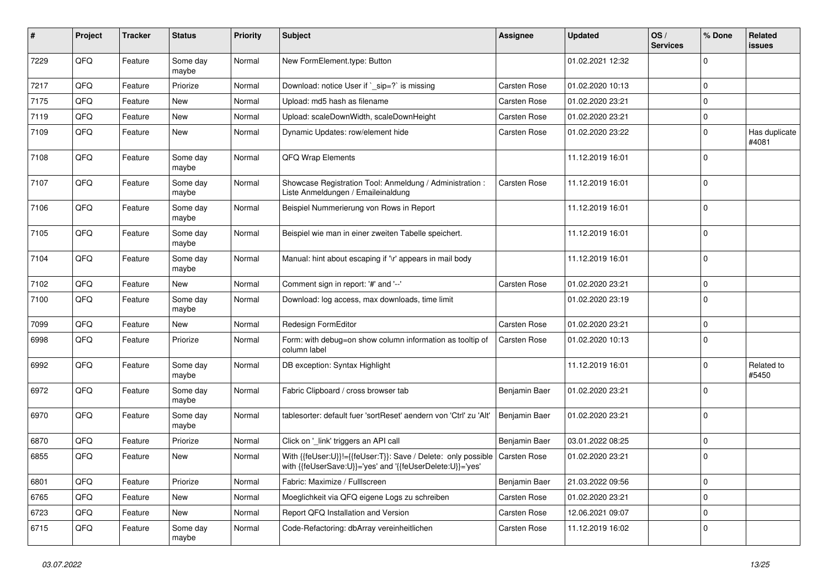| #    | Project | <b>Tracker</b> | <b>Status</b>     | <b>Priority</b> | <b>Subject</b>                                                                                                             | <b>Assignee</b> | <b>Updated</b>   | OS/<br><b>Services</b> | % Done      | Related<br>issues      |
|------|---------|----------------|-------------------|-----------------|----------------------------------------------------------------------------------------------------------------------------|-----------------|------------------|------------------------|-------------|------------------------|
| 7229 | QFQ     | Feature        | Some day<br>maybe | Normal          | New FormElement.type: Button                                                                                               |                 | 01.02.2021 12:32 |                        | $\Omega$    |                        |
| 7217 | QFQ     | Feature        | Priorize          | Normal          | Download: notice User if `_sip=?` is missing                                                                               | Carsten Rose    | 01.02.2020 10:13 |                        | 0           |                        |
| 7175 | QFQ     | Feature        | New               | Normal          | Upload: md5 hash as filename                                                                                               | Carsten Rose    | 01.02.2020 23:21 |                        | $\mathbf 0$ |                        |
| 7119 | QFQ     | Feature        | New               | Normal          | Upload: scaleDownWidth, scaleDownHeight                                                                                    | Carsten Rose    | 01.02.2020 23:21 |                        | 0           |                        |
| 7109 | QFQ     | Feature        | New               | Normal          | Dynamic Updates: row/element hide                                                                                          | Carsten Rose    | 01.02.2020 23:22 |                        | $\mathbf 0$ | Has duplicate<br>#4081 |
| 7108 | QFQ     | Feature        | Some day<br>maybe | Normal          | QFQ Wrap Elements                                                                                                          |                 | 11.12.2019 16:01 |                        | $\Omega$    |                        |
| 7107 | QFQ     | Feature        | Some day<br>maybe | Normal          | Showcase Registration Tool: Anmeldung / Administration :<br>Liste Anmeldungen / Emaileinaldung                             | Carsten Rose    | 11.12.2019 16:01 |                        | $\mathbf 0$ |                        |
| 7106 | QFQ     | Feature        | Some day<br>maybe | Normal          | Beispiel Nummerierung von Rows in Report                                                                                   |                 | 11.12.2019 16:01 |                        | $\mathbf 0$ |                        |
| 7105 | QFQ     | Feature        | Some day<br>maybe | Normal          | Beispiel wie man in einer zweiten Tabelle speichert.                                                                       |                 | 11.12.2019 16:01 |                        | $\mathbf 0$ |                        |
| 7104 | QFQ     | Feature        | Some day<br>maybe | Normal          | Manual: hint about escaping if '\r' appears in mail body                                                                   |                 | 11.12.2019 16:01 |                        | $\mathbf 0$ |                        |
| 7102 | QFQ     | Feature        | New               | Normal          | Comment sign in report: '#' and '--'                                                                                       | Carsten Rose    | 01.02.2020 23:21 |                        | $\mathbf 0$ |                        |
| 7100 | QFQ     | Feature        | Some day<br>maybe | Normal          | Download: log access, max downloads, time limit                                                                            |                 | 01.02.2020 23:19 |                        | $\Omega$    |                        |
| 7099 | QFQ     | Feature        | New               | Normal          | Redesign FormEditor                                                                                                        | Carsten Rose    | 01.02.2020 23:21 |                        | $\mathbf 0$ |                        |
| 6998 | QFQ     | Feature        | Priorize          | Normal          | Form: with debug=on show column information as tooltip of<br>column label                                                  | Carsten Rose    | 01.02.2020 10:13 |                        | $\mathbf 0$ |                        |
| 6992 | QFQ     | Feature        | Some day<br>maybe | Normal          | DB exception: Syntax Highlight                                                                                             |                 | 11.12.2019 16:01 |                        | $\mathbf 0$ | Related to<br>#5450    |
| 6972 | QFQ     | Feature        | Some day<br>maybe | Normal          | Fabric Clipboard / cross browser tab                                                                                       | Benjamin Baer   | 01.02.2020 23:21 |                        | $\mathbf 0$ |                        |
| 6970 | QFQ     | Feature        | Some day<br>maybe | Normal          | tablesorter: default fuer 'sortReset' aendern von 'Ctrl' zu 'Alt'                                                          | Benjamin Baer   | 01.02.2020 23:21 |                        | $\mathbf 0$ |                        |
| 6870 | QFQ     | Feature        | Priorize          | Normal          | Click on '_link' triggers an API call                                                                                      | Benjamin Baer   | 03.01.2022 08:25 |                        | $\mathbf 0$ |                        |
| 6855 | QFQ     | Feature        | New               | Normal          | With {{feUser:U}}!={{feUser:T}}: Save / Delete: only possible<br>with {{feUserSave:U}}='yes' and '{{feUserDelete:U}}='yes' | Carsten Rose    | 01.02.2020 23:21 |                        | $\mathbf 0$ |                        |
| 6801 | QFQ     | Feature        | Priorize          | Normal          | Fabric: Maximize / FullIscreen                                                                                             | Benjamin Baer   | 21.03.2022 09:56 |                        | $\mathbf 0$ |                        |
| 6765 | QFQ     | Feature        | New               | Normal          | Moeglichkeit via QFQ eigene Logs zu schreiben                                                                              | Carsten Rose    | 01.02.2020 23:21 |                        | $\mathbf 0$ |                        |
| 6723 | QFQ     | Feature        | New               | Normal          | Report QFQ Installation and Version                                                                                        | Carsten Rose    | 12.06.2021 09:07 |                        | 0           |                        |
| 6715 | QFQ     | Feature        | Some day<br>maybe | Normal          | Code-Refactoring: dbArray vereinheitlichen                                                                                 | Carsten Rose    | 11.12.2019 16:02 |                        | 0           |                        |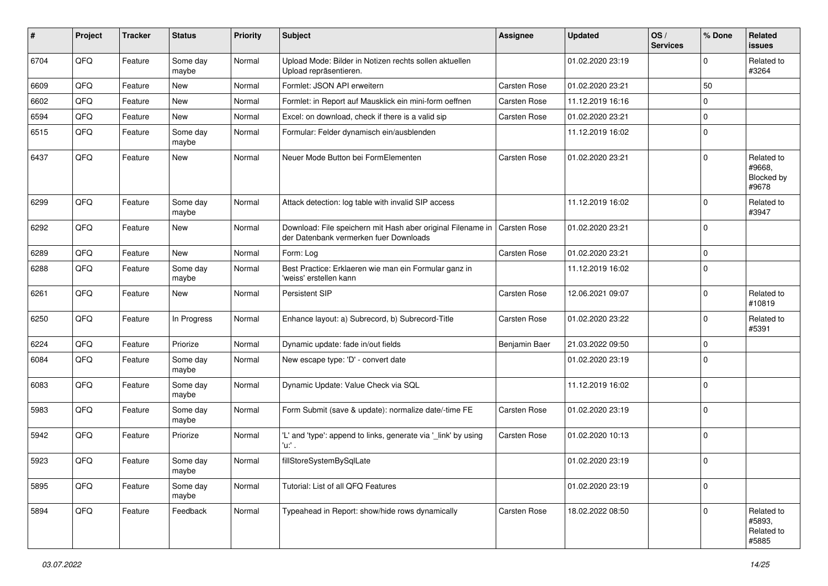| #    | Project | <b>Tracker</b> | <b>Status</b>     | <b>Priority</b> | Subject                                                                                               | <b>Assignee</b>     | <b>Updated</b>   | OS/<br><b>Services</b> | % Done      | Related<br><b>issues</b>                           |
|------|---------|----------------|-------------------|-----------------|-------------------------------------------------------------------------------------------------------|---------------------|------------------|------------------------|-------------|----------------------------------------------------|
| 6704 | QFQ     | Feature        | Some day<br>maybe | Normal          | Upload Mode: Bilder in Notizen rechts sollen aktuellen<br>Upload repräsentieren.                      |                     | 01.02.2020 23:19 |                        | $\mathbf 0$ | Related to<br>#3264                                |
| 6609 | QFQ     | Feature        | New               | Normal          | Formlet: JSON API erweitern                                                                           | Carsten Rose        | 01.02.2020 23:21 |                        | 50          |                                                    |
| 6602 | QFQ     | Feature        | New               | Normal          | Formlet: in Report auf Mausklick ein mini-form oeffnen                                                | Carsten Rose        | 11.12.2019 16:16 |                        | $\mathbf 0$ |                                                    |
| 6594 | QFQ     | Feature        | New               | Normal          | Excel: on download, check if there is a valid sip                                                     | Carsten Rose        | 01.02.2020 23:21 |                        | $\mathbf 0$ |                                                    |
| 6515 | QFQ     | Feature        | Some day<br>maybe | Normal          | Formular: Felder dynamisch ein/ausblenden                                                             |                     | 11.12.2019 16:02 |                        | $\mathbf 0$ |                                                    |
| 6437 | QFQ     | Feature        | New               | Normal          | Neuer Mode Button bei FormElementen                                                                   | Carsten Rose        | 01.02.2020 23:21 |                        | $\mathbf 0$ | Related to<br>#9668,<br><b>Blocked by</b><br>#9678 |
| 6299 | QFQ     | Feature        | Some day<br>maybe | Normal          | Attack detection: log table with invalid SIP access                                                   |                     | 11.12.2019 16:02 |                        | $\mathbf 0$ | Related to<br>#3947                                |
| 6292 | QFQ     | Feature        | New               | Normal          | Download: File speichern mit Hash aber original Filename in<br>der Datenbank vermerken fuer Downloads | <b>Carsten Rose</b> | 01.02.2020 23:21 |                        | $\mathbf 0$ |                                                    |
| 6289 | QFQ     | Feature        | <b>New</b>        | Normal          | Form: Log                                                                                             | Carsten Rose        | 01.02.2020 23:21 |                        | $\mathbf 0$ |                                                    |
| 6288 | QFQ     | Feature        | Some day<br>maybe | Normal          | Best Practice: Erklaeren wie man ein Formular ganz in<br>'weiss' erstellen kann                       |                     | 11.12.2019 16:02 |                        | $\mathbf 0$ |                                                    |
| 6261 | QFQ     | Feature        | New               | Normal          | <b>Persistent SIP</b>                                                                                 | Carsten Rose        | 12.06.2021 09:07 |                        | $\mathbf 0$ | Related to<br>#10819                               |
| 6250 | QFQ     | Feature        | In Progress       | Normal          | Enhance layout: a) Subrecord, b) Subrecord-Title                                                      | Carsten Rose        | 01.02.2020 23:22 |                        | $\mathbf 0$ | Related to<br>#5391                                |
| 6224 | QFQ     | Feature        | Priorize          | Normal          | Dynamic update: fade in/out fields                                                                    | Benjamin Baer       | 21.03.2022 09:50 |                        | $\mathbf 0$ |                                                    |
| 6084 | QFQ     | Feature        | Some day<br>maybe | Normal          | New escape type: 'D' - convert date                                                                   |                     | 01.02.2020 23:19 |                        | $\mathbf 0$ |                                                    |
| 6083 | QFQ     | Feature        | Some day<br>maybe | Normal          | Dynamic Update: Value Check via SQL                                                                   |                     | 11.12.2019 16:02 |                        | $\mathbf 0$ |                                                    |
| 5983 | QFQ     | Feature        | Some day<br>maybe | Normal          | Form Submit (save & update): normalize date/-time FE                                                  | Carsten Rose        | 01.02.2020 23:19 |                        | $\mathbf 0$ |                                                    |
| 5942 | QFQ     | Feature        | Priorize          | Normal          | 'L' and 'type': append to links, generate via '_link' by using<br>'u:' .                              | Carsten Rose        | 01.02.2020 10:13 |                        | $\mathbf 0$ |                                                    |
| 5923 | QFQ     | Feature        | Some day<br>maybe | Normal          | fillStoreSystemBySqlLate                                                                              |                     | 01.02.2020 23:19 |                        | 0           |                                                    |
| 5895 | QFQ     | Feature        | Some day<br>maybe | Normal          | Tutorial: List of all QFQ Features                                                                    |                     | 01.02.2020 23:19 |                        | $\mathbf 0$ |                                                    |
| 5894 | QFQ     | Feature        | Feedback          | Normal          | Typeahead in Report: show/hide rows dynamically                                                       | Carsten Rose        | 18.02.2022 08:50 |                        | $\Omega$    | Related to<br>#5893,<br>Related to<br>#5885        |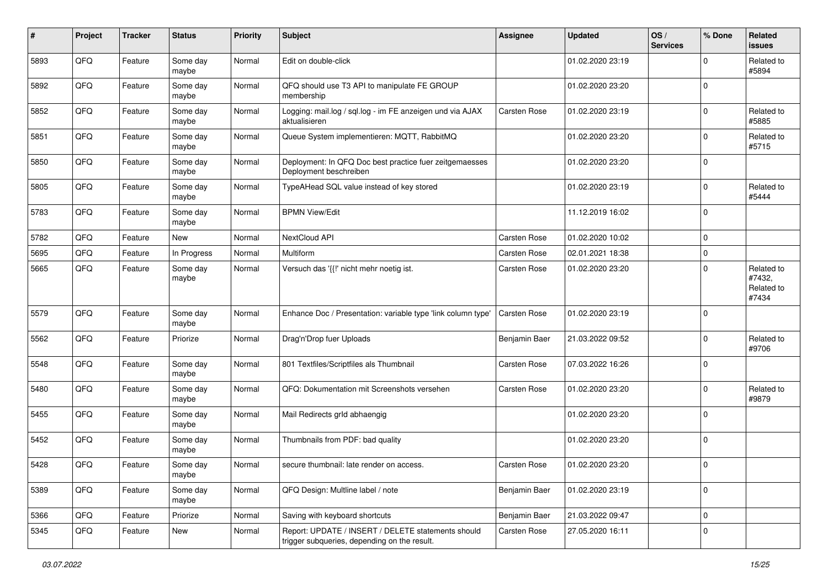| $\#$ | Project | <b>Tracker</b> | <b>Status</b>     | <b>Priority</b> | <b>Subject</b>                                                                                     | <b>Assignee</b>     | <b>Updated</b>   | OS/<br><b>Services</b> | % Done      | Related<br>issues                           |
|------|---------|----------------|-------------------|-----------------|----------------------------------------------------------------------------------------------------|---------------------|------------------|------------------------|-------------|---------------------------------------------|
| 5893 | QFQ     | Feature        | Some day<br>maybe | Normal          | Edit on double-click                                                                               |                     | 01.02.2020 23:19 |                        | 0           | Related to<br>#5894                         |
| 5892 | QFQ     | Feature        | Some day<br>maybe | Normal          | QFQ should use T3 API to manipulate FE GROUP<br>membership                                         |                     | 01.02.2020 23:20 |                        | $\Omega$    |                                             |
| 5852 | QFQ     | Feature        | Some day<br>maybe | Normal          | Logging: mail.log / sql.log - im FE anzeigen und via AJAX<br>aktualisieren                         | Carsten Rose        | 01.02.2020 23:19 |                        | $\Omega$    | Related to<br>#5885                         |
| 5851 | QFQ     | Feature        | Some day<br>maybe | Normal          | Queue System implementieren: MQTT, RabbitMQ                                                        |                     | 01.02.2020 23:20 |                        | 0           | Related to<br>#5715                         |
| 5850 | QFQ     | Feature        | Some day<br>maybe | Normal          | Deployment: In QFQ Doc best practice fuer zeitgemaesses<br>Deployment beschreiben                  |                     | 01.02.2020 23:20 |                        | $\mathbf 0$ |                                             |
| 5805 | QFQ     | Feature        | Some day<br>maybe | Normal          | TypeAHead SQL value instead of key stored                                                          |                     | 01.02.2020 23:19 |                        | $\mathbf 0$ | Related to<br>#5444                         |
| 5783 | QFQ     | Feature        | Some day<br>maybe | Normal          | <b>BPMN View/Edit</b>                                                                              |                     | 11.12.2019 16:02 |                        | $\mathbf 0$ |                                             |
| 5782 | QFQ     | Feature        | New               | Normal          | NextCloud API                                                                                      | <b>Carsten Rose</b> | 01.02.2020 10:02 |                        | $\mathbf 0$ |                                             |
| 5695 | QFQ     | Feature        | In Progress       | Normal          | Multiform                                                                                          | Carsten Rose        | 02.01.2021 18:38 |                        | $\mathbf 0$ |                                             |
| 5665 | QFQ     | Feature        | Some day<br>maybe | Normal          | Versuch das '{{!' nicht mehr noetig ist.                                                           | Carsten Rose        | 01.02.2020 23:20 |                        | $\mathbf 0$ | Related to<br>#7432,<br>Related to<br>#7434 |
| 5579 | QFQ     | Feature        | Some day<br>maybe | Normal          | Enhance Doc / Presentation: variable type 'link column type'                                       | Carsten Rose        | 01.02.2020 23:19 |                        | 0           |                                             |
| 5562 | QFQ     | Feature        | Priorize          | Normal          | Drag'n'Drop fuer Uploads                                                                           | Benjamin Baer       | 21.03.2022 09:52 |                        | $\mathbf 0$ | Related to<br>#9706                         |
| 5548 | QFQ     | Feature        | Some day<br>maybe | Normal          | 801 Textfiles/Scriptfiles als Thumbnail                                                            | Carsten Rose        | 07.03.2022 16:26 |                        | $\mathbf 0$ |                                             |
| 5480 | QFQ     | Feature        | Some day<br>maybe | Normal          | QFQ: Dokumentation mit Screenshots versehen                                                        | Carsten Rose        | 01.02.2020 23:20 |                        | $\mathbf 0$ | Related to<br>#9879                         |
| 5455 | QFQ     | Feature        | Some day<br>maybe | Normal          | Mail Redirects grld abhaengig                                                                      |                     | 01.02.2020 23:20 |                        | 0           |                                             |
| 5452 | QFQ     | Feature        | Some day<br>maybe | Normal          | Thumbnails from PDF: bad quality                                                                   |                     | 01.02.2020 23:20 |                        | $\mathbf 0$ |                                             |
| 5428 | QFQ     | Feature        | Some day<br>maybe | Normal          | secure thumbnail: late render on access.                                                           | <b>Carsten Rose</b> | 01.02.2020 23:20 |                        | $\mathbf 0$ |                                             |
| 5389 | QFQ     | Feature        | Some day<br>maybe | Normal          | QFQ Design: Multline label / note                                                                  | Benjamin Baer       | 01.02.2020 23:19 |                        | $\mathbf 0$ |                                             |
| 5366 | QFQ     | Feature        | Priorize          | Normal          | Saving with keyboard shortcuts                                                                     | Benjamin Baer       | 21.03.2022 09:47 |                        | $\mathbf 0$ |                                             |
| 5345 | QFQ     | Feature        | New               | Normal          | Report: UPDATE / INSERT / DELETE statements should<br>trigger subqueries, depending on the result. | <b>Carsten Rose</b> | 27.05.2020 16:11 |                        | 0           |                                             |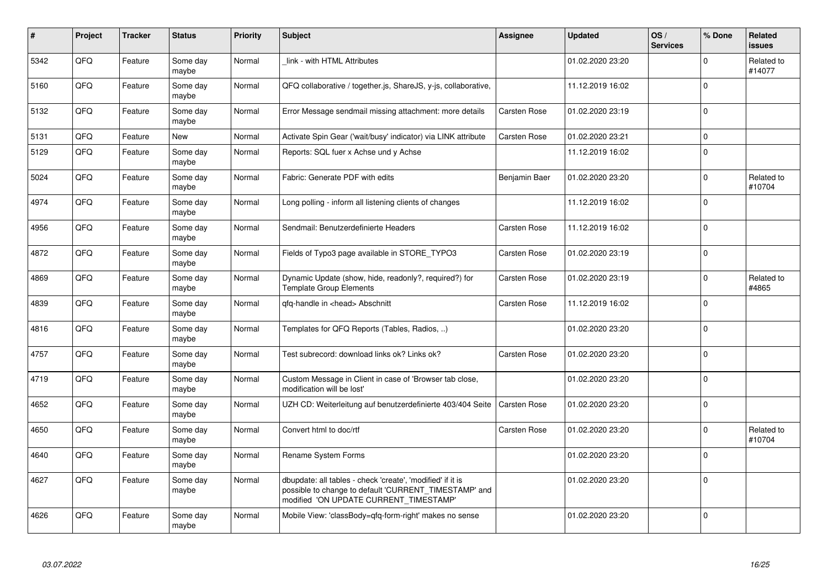| $\pmb{\#}$ | Project | <b>Tracker</b> | <b>Status</b>     | <b>Priority</b> | <b>Subject</b>                                                                                                                                                | Assignee            | <b>Updated</b>   | OS/<br><b>Services</b> | % Done      | Related<br><b>issues</b> |
|------------|---------|----------------|-------------------|-----------------|---------------------------------------------------------------------------------------------------------------------------------------------------------------|---------------------|------------------|------------------------|-------------|--------------------------|
| 5342       | QFQ     | Feature        | Some day<br>maybe | Normal          | link - with HTML Attributes                                                                                                                                   |                     | 01.02.2020 23:20 |                        | $\Omega$    | Related to<br>#14077     |
| 5160       | QFQ     | Feature        | Some day<br>maybe | Normal          | QFQ collaborative / together.js, ShareJS, y-js, collaborative,                                                                                                |                     | 11.12.2019 16:02 |                        | $\Omega$    |                          |
| 5132       | QFQ     | Feature        | Some day<br>maybe | Normal          | Error Message sendmail missing attachment: more details                                                                                                       | Carsten Rose        | 01.02.2020 23:19 |                        | $\Omega$    |                          |
| 5131       | QFQ     | Feature        | New               | Normal          | Activate Spin Gear ('wait/busy' indicator) via LINK attribute                                                                                                 | Carsten Rose        | 01.02.2020 23:21 |                        | $\mathbf 0$ |                          |
| 5129       | QFQ     | Feature        | Some day<br>maybe | Normal          | Reports: SQL fuer x Achse und y Achse                                                                                                                         |                     | 11.12.2019 16:02 |                        | $\mathbf 0$ |                          |
| 5024       | QFQ     | Feature        | Some day<br>maybe | Normal          | Fabric: Generate PDF with edits                                                                                                                               | Benjamin Baer       | 01.02.2020 23:20 |                        | $\Omega$    | Related to<br>#10704     |
| 4974       | QFQ     | Feature        | Some day<br>maybe | Normal          | Long polling - inform all listening clients of changes                                                                                                        |                     | 11.12.2019 16:02 |                        | $\Omega$    |                          |
| 4956       | QFQ     | Feature        | Some day<br>maybe | Normal          | Sendmail: Benutzerdefinierte Headers                                                                                                                          | Carsten Rose        | 11.12.2019 16:02 |                        | $\Omega$    |                          |
| 4872       | QFQ     | Feature        | Some day<br>maybe | Normal          | Fields of Typo3 page available in STORE_TYPO3                                                                                                                 | Carsten Rose        | 01.02.2020 23:19 |                        | $\Omega$    |                          |
| 4869       | QFQ     | Feature        | Some day<br>maybe | Normal          | Dynamic Update (show, hide, readonly?, required?) for<br><b>Template Group Elements</b>                                                                       | Carsten Rose        | 01.02.2020 23:19 |                        | $\Omega$    | Related to<br>#4865      |
| 4839       | QFQ     | Feature        | Some day<br>maybe | Normal          | qfq-handle in <head> Abschnitt</head>                                                                                                                         | Carsten Rose        | 11.12.2019 16:02 |                        | $\Omega$    |                          |
| 4816       | QFQ     | Feature        | Some day<br>maybe | Normal          | Templates for QFQ Reports (Tables, Radios, )                                                                                                                  |                     | 01.02.2020 23:20 |                        | $\Omega$    |                          |
| 4757       | QFQ     | Feature        | Some day<br>maybe | Normal          | Test subrecord: download links ok? Links ok?                                                                                                                  | Carsten Rose        | 01.02.2020 23:20 |                        | $\mathbf 0$ |                          |
| 4719       | QFQ     | Feature        | Some day<br>maybe | Normal          | Custom Message in Client in case of 'Browser tab close,<br>modification will be lost'                                                                         |                     | 01.02.2020 23:20 |                        | $\Omega$    |                          |
| 4652       | QFQ     | Feature        | Some day<br>maybe | Normal          | UZH CD: Weiterleitung auf benutzerdefinierte 403/404 Seite                                                                                                    | <b>Carsten Rose</b> | 01.02.2020 23:20 |                        | $\Omega$    |                          |
| 4650       | OFO.    | Feature        | Some day<br>maybe | Normal          | Convert html to doc/rtf                                                                                                                                       | Carsten Rose        | 01.02.2020 23:20 |                        | $\Omega$    | Related to<br>#10704     |
| 4640       | QFQ     | Feature        | Some day<br>maybe | Normal          | Rename System Forms                                                                                                                                           |                     | 01.02.2020 23:20 |                        | $\Omega$    |                          |
| 4627       | QFQ     | Feature        | Some day<br>maybe | Normal          | dbupdate: all tables - check 'create', 'modified' if it is<br>possible to change to default 'CURRENT_TIMESTAMP' and<br>modified 'ON UPDATE CURRENT TIMESTAMP' |                     | 01.02.2020 23:20 |                        | $\Omega$    |                          |
| 4626       | QFQ     | Feature        | Some day<br>maybe | Normal          | Mobile View: 'classBody=qfq-form-right' makes no sense                                                                                                        |                     | 01.02.2020 23:20 |                        | $\Omega$    |                          |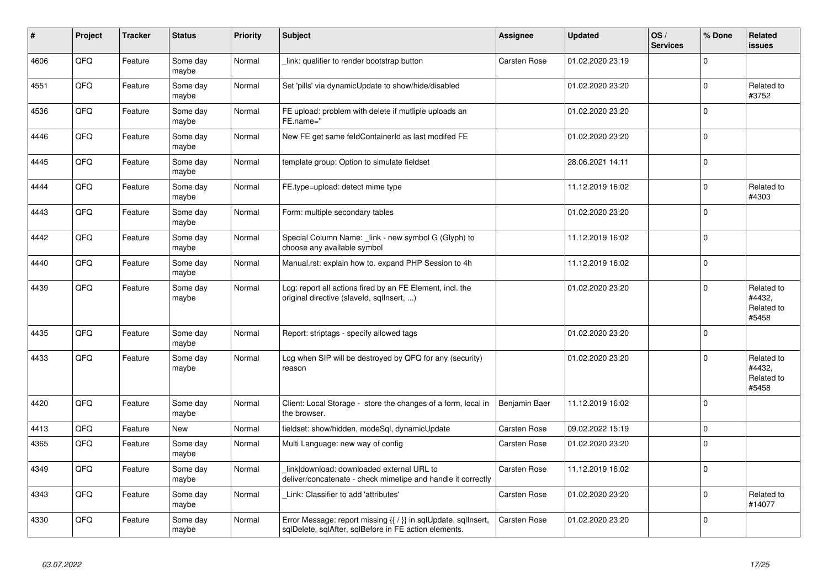| #    | Project | <b>Tracker</b> | <b>Status</b>     | <b>Priority</b> | <b>Subject</b>                                                                                                                     | <b>Assignee</b> | <b>Updated</b>   | OS/<br><b>Services</b> | % Done              | Related<br>issues                           |
|------|---------|----------------|-------------------|-----------------|------------------------------------------------------------------------------------------------------------------------------------|-----------------|------------------|------------------------|---------------------|---------------------------------------------|
| 4606 | QFQ     | Feature        | Some day<br>maybe | Normal          | link: qualifier to render bootstrap button                                                                                         | Carsten Rose    | 01.02.2020 23:19 |                        | $\mathbf 0$         |                                             |
| 4551 | QFQ     | Feature        | Some day<br>maybe | Normal          | Set 'pills' via dynamicUpdate to show/hide/disabled                                                                                |                 | 01.02.2020 23:20 |                        | $\mathsf{O}\xspace$ | Related to<br>#3752                         |
| 4536 | QFQ     | Feature        | Some day<br>maybe | Normal          | FE upload: problem with delete if mutliple uploads an<br>FE.name="                                                                 |                 | 01.02.2020 23:20 |                        | $\mathbf 0$         |                                             |
| 4446 | QFQ     | Feature        | Some day<br>maybe | Normal          | New FE get same feldContainerId as last modifed FE                                                                                 |                 | 01.02.2020 23:20 |                        | $\mathbf 0$         |                                             |
| 4445 | QFQ     | Feature        | Some day<br>maybe | Normal          | template group: Option to simulate fieldset                                                                                        |                 | 28.06.2021 14:11 |                        | $\mathbf 0$         |                                             |
| 4444 | QFQ     | Feature        | Some day<br>maybe | Normal          | FE.type=upload: detect mime type                                                                                                   |                 | 11.12.2019 16:02 |                        | $\mathbf 0$         | Related to<br>#4303                         |
| 4443 | QFQ     | Feature        | Some day<br>maybe | Normal          | Form: multiple secondary tables                                                                                                    |                 | 01.02.2020 23:20 |                        | $\Omega$            |                                             |
| 4442 | QFQ     | Feature        | Some day<br>maybe | Normal          | Special Column Name: _link - new symbol G (Glyph) to<br>choose any available symbol                                                |                 | 11.12.2019 16:02 |                        | $\mathbf 0$         |                                             |
| 4440 | QFQ     | Feature        | Some day<br>maybe | Normal          | Manual.rst: explain how to. expand PHP Session to 4h                                                                               |                 | 11.12.2019 16:02 |                        | $\mathsf{O}\xspace$ |                                             |
| 4439 | QFQ     | Feature        | Some day<br>maybe | Normal          | Log: report all actions fired by an FE Element, incl. the<br>original directive (slaveld, sqllnsert, )                             |                 | 01.02.2020 23:20 |                        | $\mathbf 0$         | Related to<br>#4432,<br>Related to<br>#5458 |
| 4435 | QFQ     | Feature        | Some day<br>maybe | Normal          | Report: striptags - specify allowed tags                                                                                           |                 | 01.02.2020 23:20 |                        | $\mathbf 0$         |                                             |
| 4433 | QFQ     | Feature        | Some day<br>maybe | Normal          | Log when SIP will be destroyed by QFQ for any (security)<br>reason                                                                 |                 | 01.02.2020 23:20 |                        | $\mathbf 0$         | Related to<br>#4432,<br>Related to<br>#5458 |
| 4420 | QFQ     | Feature        | Some day<br>maybe | Normal          | Client: Local Storage - store the changes of a form, local in<br>the browser.                                                      | Benjamin Baer   | 11.12.2019 16:02 |                        | $\Omega$            |                                             |
| 4413 | QFQ     | Feature        | <b>New</b>        | Normal          | fieldset: show/hidden, modeSql, dynamicUpdate                                                                                      | Carsten Rose    | 09.02.2022 15:19 |                        | $\pmb{0}$           |                                             |
| 4365 | QFQ     | Feature        | Some day<br>maybe | Normal          | Multi Language: new way of config                                                                                                  | Carsten Rose    | 01.02.2020 23:20 |                        | $\mathbf 0$         |                                             |
| 4349 | QFQ     | Feature        | Some day<br>maybe | Normal          | link download: downloaded external URL to<br>deliver/concatenate - check mimetipe and handle it correctly                          | Carsten Rose    | 11.12.2019 16:02 |                        | $\mathbf 0$         |                                             |
| 4343 | QFQ     | Feature        | Some day<br>maybe | Normal          | Link: Classifier to add 'attributes'                                                                                               | Carsten Rose    | 01.02.2020 23:20 |                        | $\mathsf{O}\xspace$ | Related to<br>#14077                        |
| 4330 | QFQ     | Feature        | Some day<br>maybe | Normal          | Error Message: report missing $\{\{\ \right\}\}$ in sqlUpdate, sqlInsert,<br>sqlDelete, sqlAfter, sqlBefore in FE action elements. | Carsten Rose    | 01.02.2020 23:20 |                        | $\mathbf 0$         |                                             |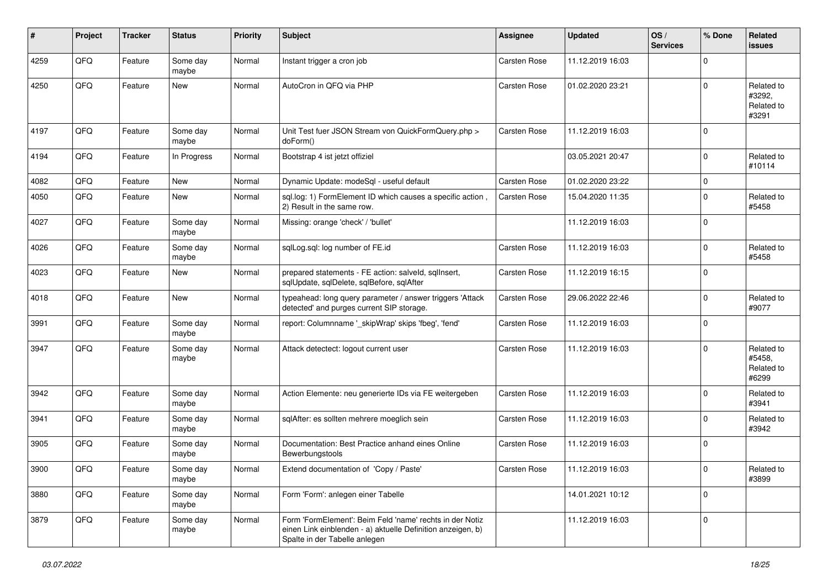| #    | Project | <b>Tracker</b> | <b>Status</b>     | <b>Priority</b> | <b>Subject</b>                                                                                                                                           | <b>Assignee</b> | <b>Updated</b>   | OS/<br><b>Services</b> | % Done              | Related<br><b>issues</b>                    |
|------|---------|----------------|-------------------|-----------------|----------------------------------------------------------------------------------------------------------------------------------------------------------|-----------------|------------------|------------------------|---------------------|---------------------------------------------|
| 4259 | QFQ     | Feature        | Some day<br>maybe | Normal          | Instant trigger a cron job                                                                                                                               | Carsten Rose    | 11.12.2019 16:03 |                        | $\Omega$            |                                             |
| 4250 | QFQ     | Feature        | New               | Normal          | AutoCron in QFQ via PHP                                                                                                                                  | Carsten Rose    | 01.02.2020 23:21 |                        | $\Omega$            | Related to<br>#3292,<br>Related to<br>#3291 |
| 4197 | QFQ     | Feature        | Some day<br>maybe | Normal          | Unit Test fuer JSON Stream von QuickFormQuery.php ><br>doForm()                                                                                          | Carsten Rose    | 11.12.2019 16:03 |                        | $\Omega$            |                                             |
| 4194 | QFQ     | Feature        | In Progress       | Normal          | Bootstrap 4 ist jetzt offiziel                                                                                                                           |                 | 03.05.2021 20:47 |                        | $\Omega$            | Related to<br>#10114                        |
| 4082 | QFQ     | Feature        | New               | Normal          | Dynamic Update: modeSql - useful default                                                                                                                 | Carsten Rose    | 01.02.2020 23:22 |                        | $\mathbf 0$         |                                             |
| 4050 | QFQ     | Feature        | New               | Normal          | sql.log: 1) FormElement ID which causes a specific action,<br>2) Result in the same row.                                                                 | Carsten Rose    | 15.04.2020 11:35 |                        | $\mathbf 0$         | Related to<br>#5458                         |
| 4027 | QFQ     | Feature        | Some day<br>maybe | Normal          | Missing: orange 'check' / 'bullet'                                                                                                                       |                 | 11.12.2019 16:03 |                        | $\Omega$            |                                             |
| 4026 | QFQ     | Feature        | Some day<br>maybe | Normal          | sqlLog.sql: log number of FE.id                                                                                                                          | Carsten Rose    | 11.12.2019 16:03 |                        | $\Omega$            | Related to<br>#5458                         |
| 4023 | QFQ     | Feature        | New               | Normal          | prepared statements - FE action: salveld, sqllnsert,<br>sqlUpdate, sqlDelete, sqlBefore, sqlAfter                                                        | Carsten Rose    | 11.12.2019 16:15 |                        | $\mathbf 0$         |                                             |
| 4018 | QFQ     | Feature        | New               | Normal          | typeahead: long query parameter / answer triggers 'Attack<br>detected' and purges current SIP storage.                                                   | Carsten Rose    | 29.06.2022 22:46 |                        | $\mathbf 0$         | Related to<br>#9077                         |
| 3991 | QFQ     | Feature        | Some day<br>maybe | Normal          | report: Columnname '_skipWrap' skips 'fbeg', 'fend'                                                                                                      | Carsten Rose    | 11.12.2019 16:03 |                        | $\Omega$            |                                             |
| 3947 | QFQ     | Feature        | Some day<br>maybe | Normal          | Attack detectect: logout current user                                                                                                                    | Carsten Rose    | 11.12.2019 16:03 |                        | $\Omega$            | Related to<br>#5458,<br>Related to<br>#6299 |
| 3942 | QFQ     | Feature        | Some day<br>maybe | Normal          | Action Elemente: neu generierte IDs via FE weitergeben                                                                                                   | Carsten Rose    | 11.12.2019 16:03 |                        | $\Omega$            | Related to<br>#3941                         |
| 3941 | QFQ     | Feature        | Some day<br>maybe | Normal          | sqlAfter: es sollten mehrere moeglich sein                                                                                                               | Carsten Rose    | 11.12.2019 16:03 |                        | $\mathbf 0$         | Related to<br>#3942                         |
| 3905 | QFQ     | Feature        | Some day<br>maybe | Normal          | Documentation: Best Practice anhand eines Online<br>Bewerbungstools                                                                                      | Carsten Rose    | 11.12.2019 16:03 |                        | $\mathbf 0$         |                                             |
| 3900 | QFQ     | Feature        | Some day<br>maybe | Normal          | Extend documentation of 'Copy / Paste'                                                                                                                   | Carsten Rose    | 11.12.2019 16:03 |                        | $\mathsf{O}\xspace$ | Related to<br>#3899                         |
| 3880 | QFQ     | Feature        | Some day<br>maybe | Normal          | Form 'Form': anlegen einer Tabelle                                                                                                                       |                 | 14.01.2021 10:12 |                        | $\mathbf 0$         |                                             |
| 3879 | QFQ     | Feature        | Some day<br>maybe | Normal          | Form 'FormElement': Beim Feld 'name' rechts in der Notiz<br>einen Link einblenden - a) aktuelle Definition anzeigen, b)<br>Spalte in der Tabelle anlegen |                 | 11.12.2019 16:03 |                        | $\mathbf 0$         |                                             |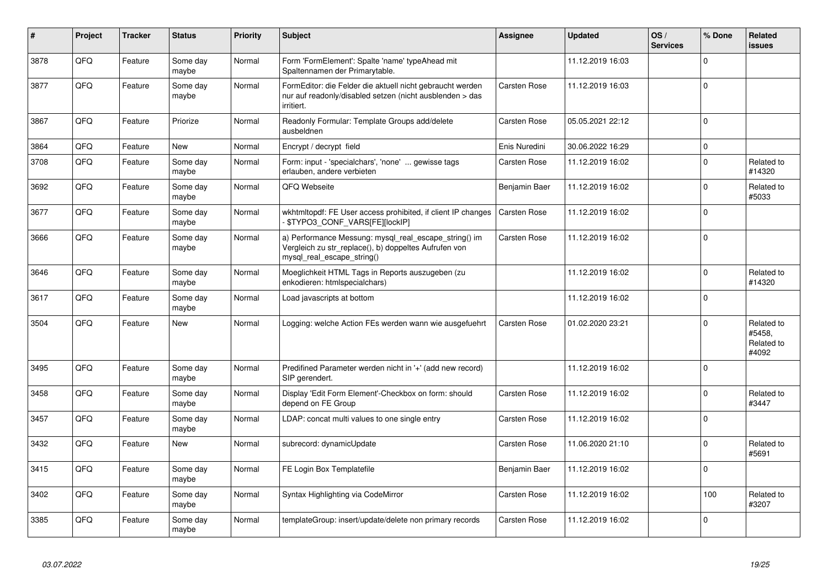| #    | Project | <b>Tracker</b> | <b>Status</b>     | <b>Priority</b> | <b>Subject</b>                                                                                                                               | Assignee      | <b>Updated</b>   | OS/<br><b>Services</b> | % Done      | Related<br>issues                           |
|------|---------|----------------|-------------------|-----------------|----------------------------------------------------------------------------------------------------------------------------------------------|---------------|------------------|------------------------|-------------|---------------------------------------------|
| 3878 | QFQ     | Feature        | Some day<br>maybe | Normal          | Form 'FormElement': Spalte 'name' typeAhead mit<br>Spaltennamen der Primarytable.                                                            |               | 11.12.2019 16:03 |                        | $\mathbf 0$ |                                             |
| 3877 | QFQ     | Feature        | Some day<br>maybe | Normal          | FormEditor: die Felder die aktuell nicht gebraucht werden<br>nur auf readonly/disabled setzen (nicht ausblenden > das<br>irritiert.          | Carsten Rose  | 11.12.2019 16:03 |                        | $\mathbf 0$ |                                             |
| 3867 | QFQ     | Feature        | Priorize          | Normal          | Readonly Formular: Template Groups add/delete<br>ausbeldnen                                                                                  | Carsten Rose  | 05.05.2021 22:12 |                        | $\mathbf 0$ |                                             |
| 3864 | QFQ     | Feature        | <b>New</b>        | Normal          | Encrypt / decrypt field                                                                                                                      | Enis Nuredini | 30.06.2022 16:29 |                        | $\pmb{0}$   |                                             |
| 3708 | QFQ     | Feature        | Some day<br>maybe | Normal          | Form: input - 'specialchars', 'none'  gewisse tags<br>erlauben, andere verbieten                                                             | Carsten Rose  | 11.12.2019 16:02 |                        | $\mathbf 0$ | Related to<br>#14320                        |
| 3692 | QFQ     | Feature        | Some day<br>maybe | Normal          | QFQ Webseite                                                                                                                                 | Benjamin Baer | 11.12.2019 16:02 |                        | $\mathbf 0$ | Related to<br>#5033                         |
| 3677 | QFQ     | Feature        | Some day<br>maybe | Normal          | wkhtmltopdf: FE User access prohibited, if client IP changes<br>- \$TYPO3_CONF_VARS[FE][lockIP]                                              | Carsten Rose  | 11.12.2019 16:02 |                        | $\mathbf 0$ |                                             |
| 3666 | QFQ     | Feature        | Some day<br>maybe | Normal          | a) Performance Messung: mysql_real_escape_string() im<br>Vergleich zu str_replace(), b) doppeltes Aufrufen von<br>mysql real escape string() | Carsten Rose  | 11.12.2019 16:02 |                        | $\mathbf 0$ |                                             |
| 3646 | QFQ     | Feature        | Some day<br>maybe | Normal          | Moeglichkeit HTML Tags in Reports auszugeben (zu<br>enkodieren: htmlspecialchars)                                                            |               | 11.12.2019 16:02 |                        | $\mathbf 0$ | Related to<br>#14320                        |
| 3617 | QFQ     | Feature        | Some day<br>maybe | Normal          | Load javascripts at bottom                                                                                                                   |               | 11.12.2019 16:02 |                        | $\mathbf 0$ |                                             |
| 3504 | QFQ     | Feature        | <b>New</b>        | Normal          | Logging: welche Action FEs werden wann wie ausgefuehrt                                                                                       | Carsten Rose  | 01.02.2020 23:21 |                        | $\mathbf 0$ | Related to<br>#5458,<br>Related to<br>#4092 |
| 3495 | QFQ     | Feature        | Some day<br>maybe | Normal          | Predifined Parameter werden nicht in '+' (add new record)<br>SIP gerendert.                                                                  |               | 11.12.2019 16:02 |                        | $\mathbf 0$ |                                             |
| 3458 | QFQ     | Feature        | Some day<br>maybe | Normal          | Display 'Edit Form Element'-Checkbox on form: should<br>depend on FE Group                                                                   | Carsten Rose  | 11.12.2019 16:02 |                        | $\mathbf 0$ | Related to<br>#3447                         |
| 3457 | QFQ     | Feature        | Some day<br>maybe | Normal          | LDAP: concat multi values to one single entry                                                                                                | Carsten Rose  | 11.12.2019 16:02 |                        | $\mathsf 0$ |                                             |
| 3432 | QFQ     | Feature        | <b>New</b>        | Normal          | subrecord: dynamicUpdate                                                                                                                     | Carsten Rose  | 11.06.2020 21:10 |                        | $\mathbf 0$ | Related to<br>#5691                         |
| 3415 | QFQ     | Feature        | Some day<br>maybe | Normal          | FE Login Box Templatefile                                                                                                                    | Benjamin Baer | 11.12.2019 16:02 |                        | $\mathbf 0$ |                                             |
| 3402 | QFQ     | Feature        | Some day<br>maybe | Normal          | Syntax Highlighting via CodeMirror                                                                                                           | Carsten Rose  | 11.12.2019 16:02 |                        | 100         | Related to<br>#3207                         |
| 3385 | QFQ     | Feature        | Some day<br>maybe | Normal          | templateGroup: insert/update/delete non primary records                                                                                      | Carsten Rose  | 11.12.2019 16:02 |                        | $\mathbf 0$ |                                             |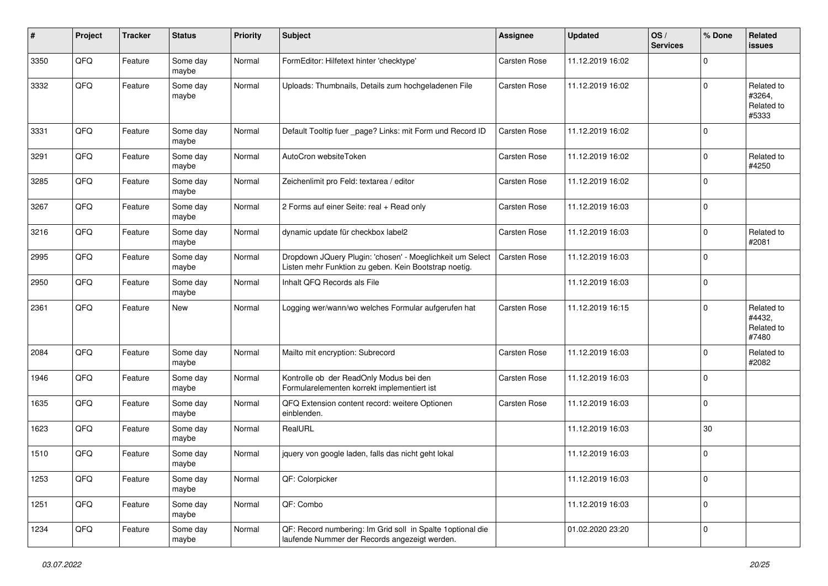| $\sharp$ | Project | <b>Tracker</b> | <b>Status</b>     | <b>Priority</b> | <b>Subject</b>                                                                                                     | <b>Assignee</b> | <b>Updated</b>   | OS/<br><b>Services</b> | % Done       | Related<br><b>issues</b>                    |
|----------|---------|----------------|-------------------|-----------------|--------------------------------------------------------------------------------------------------------------------|-----------------|------------------|------------------------|--------------|---------------------------------------------|
| 3350     | QFQ     | Feature        | Some day<br>maybe | Normal          | FormEditor: Hilfetext hinter 'checktype'                                                                           | Carsten Rose    | 11.12.2019 16:02 |                        | $\Omega$     |                                             |
| 3332     | QFQ     | Feature        | Some day<br>maybe | Normal          | Uploads: Thumbnails, Details zum hochgeladenen File                                                                | Carsten Rose    | 11.12.2019 16:02 |                        | $\mathbf 0$  | Related to<br>#3264,<br>Related to<br>#5333 |
| 3331     | QFQ     | Feature        | Some day<br>maybe | Normal          | Default Tooltip fuer _page? Links: mit Form und Record ID                                                          | Carsten Rose    | 11.12.2019 16:02 |                        | $\mathbf 0$  |                                             |
| 3291     | QFQ     | Feature        | Some day<br>maybe | Normal          | AutoCron websiteToken                                                                                              | Carsten Rose    | 11.12.2019 16:02 |                        | $\mathbf 0$  | Related to<br>#4250                         |
| 3285     | QFQ     | Feature        | Some day<br>maybe | Normal          | Zeichenlimit pro Feld: textarea / editor                                                                           | Carsten Rose    | 11.12.2019 16:02 |                        | $\Omega$     |                                             |
| 3267     | QFQ     | Feature        | Some day<br>maybe | Normal          | 2 Forms auf einer Seite: real + Read only                                                                          | Carsten Rose    | 11.12.2019 16:03 |                        | 0            |                                             |
| 3216     | QFQ     | Feature        | Some day<br>maybe | Normal          | dynamic update für checkbox label2                                                                                 | Carsten Rose    | 11.12.2019 16:03 |                        | $\mathbf 0$  | Related to<br>#2081                         |
| 2995     | QFQ     | Feature        | Some day<br>maybe | Normal          | Dropdown JQuery Plugin: 'chosen' - Moeglichkeit um Select<br>Listen mehr Funktion zu geben. Kein Bootstrap noetig. | Carsten Rose    | 11.12.2019 16:03 |                        | $\mathbf 0$  |                                             |
| 2950     | QFQ     | Feature        | Some day<br>maybe | Normal          | Inhalt QFQ Records als File                                                                                        |                 | 11.12.2019 16:03 |                        | $\mathbf 0$  |                                             |
| 2361     | QFQ     | Feature        | New               | Normal          | Logging wer/wann/wo welches Formular aufgerufen hat                                                                | Carsten Rose    | 11.12.2019 16:15 |                        | $\mathbf 0$  | Related to<br>#4432,<br>Related to<br>#7480 |
| 2084     | QFQ     | Feature        | Some day<br>maybe | Normal          | Mailto mit encryption: Subrecord                                                                                   | Carsten Rose    | 11.12.2019 16:03 |                        | $\Omega$     | Related to<br>#2082                         |
| 1946     | QFQ     | Feature        | Some day<br>maybe | Normal          | Kontrolle ob der ReadOnly Modus bei den<br>Formularelementen korrekt implementiert ist                             | Carsten Rose    | 11.12.2019 16:03 |                        | $\mathbf 0$  |                                             |
| 1635     | QFQ     | Feature        | Some day<br>maybe | Normal          | QFQ Extension content record: weitere Optionen<br>einblenden.                                                      | Carsten Rose    | 11.12.2019 16:03 |                        | $\mathbf 0$  |                                             |
| 1623     | QFQ     | Feature        | Some day<br>maybe | Normal          | RealURL                                                                                                            |                 | 11.12.2019 16:03 |                        | 30           |                                             |
| 1510     | QFQ     | Feature        | Some day<br>maybe | Normal          | jquery von google laden, falls das nicht geht lokal                                                                |                 | 11.12.2019 16:03 |                        | $\mathbf 0$  |                                             |
| 1253     | QFQ     | Feature        | Some day<br>maybe | Normal          | QF: Colorpicker                                                                                                    |                 | 11.12.2019 16:03 |                        | $\mathbf 0$  |                                             |
| 1251     | QFQ     | Feature        | Some day<br>maybe | Normal          | QF: Combo                                                                                                          |                 | 11.12.2019 16:03 |                        | $\pmb{0}$    |                                             |
| 1234     | QFQ     | Feature        | Some day<br>maybe | Normal          | QF: Record numbering: Im Grid soll in Spalte 1 optional die<br>laufende Nummer der Records angezeigt werden.       |                 | 01.02.2020 23:20 |                        | $\mathbf{0}$ |                                             |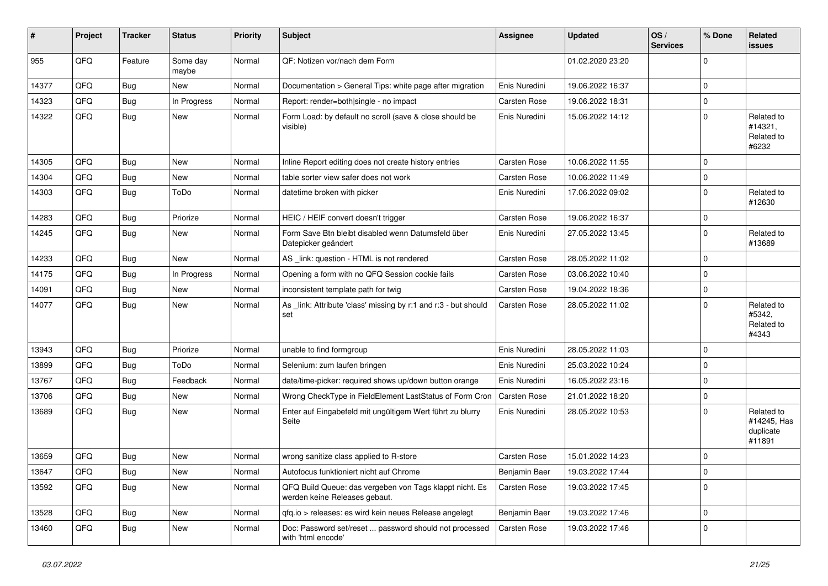| #     | Project | <b>Tracker</b> | <b>Status</b>     | <b>Priority</b> | <b>Subject</b>                                                                           | <b>Assignee</b>     | <b>Updated</b>   | OS/<br><b>Services</b> | % Done       | Related<br><b>issues</b>                         |
|-------|---------|----------------|-------------------|-----------------|------------------------------------------------------------------------------------------|---------------------|------------------|------------------------|--------------|--------------------------------------------------|
| 955   | QFQ     | Feature        | Some day<br>maybe | Normal          | QF: Notizen vor/nach dem Form                                                            |                     | 01.02.2020 23:20 |                        | $\mathbf{0}$ |                                                  |
| 14377 | QFQ     | <b>Bug</b>     | New               | Normal          | Documentation > General Tips: white page after migration                                 | Enis Nuredini       | 19.06.2022 16:37 |                        | 0            |                                                  |
| 14323 | QFQ     | <b>Bug</b>     | In Progress       | Normal          | Report: render=both single - no impact                                                   | Carsten Rose        | 19.06.2022 18:31 |                        | 0            |                                                  |
| 14322 | QFQ     | Bug            | <b>New</b>        | Normal          | Form Load: by default no scroll (save & close should be<br>visible)                      | Enis Nuredini       | 15.06.2022 14:12 |                        | $\mathbf 0$  | Related to<br>#14321,<br>Related to<br>#6232     |
| 14305 | QFQ     | Bug            | New               | Normal          | Inline Report editing does not create history entries                                    | Carsten Rose        | 10.06.2022 11:55 |                        | $\mathbf 0$  |                                                  |
| 14304 | QFQ     | <b>Bug</b>     | <b>New</b>        | Normal          | table sorter view safer does not work                                                    | Carsten Rose        | 10.06.2022 11:49 |                        | 0            |                                                  |
| 14303 | QFQ     | <b>Bug</b>     | ToDo              | Normal          | datetime broken with picker                                                              | Enis Nuredini       | 17.06.2022 09:02 |                        | $\mathbf 0$  | Related to<br>#12630                             |
| 14283 | QFQ     | <b>Bug</b>     | Priorize          | Normal          | HEIC / HEIF convert doesn't trigger                                                      | Carsten Rose        | 19.06.2022 16:37 |                        | 0            |                                                  |
| 14245 | QFQ     | Bug            | <b>New</b>        | Normal          | Form Save Btn bleibt disabled wenn Datumsfeld über<br>Datepicker geändert                | Enis Nuredini       | 27.05.2022 13:45 |                        | $\mathbf 0$  | Related to<br>#13689                             |
| 14233 | QFQ     | <b>Bug</b>     | New               | Normal          | AS _link: question - HTML is not rendered                                                | Carsten Rose        | 28.05.2022 11:02 |                        | $\Omega$     |                                                  |
| 14175 | QFQ     | <b>Bug</b>     | In Progress       | Normal          | Opening a form with no QFQ Session cookie fails                                          | Carsten Rose        | 03.06.2022 10:40 |                        | $\mathbf 0$  |                                                  |
| 14091 | QFQ     | <b>Bug</b>     | <b>New</b>        | Normal          | inconsistent template path for twig                                                      | Carsten Rose        | 19.04.2022 18:36 |                        | 0            |                                                  |
| 14077 | QFQ     | Bug            | <b>New</b>        | Normal          | As _link: Attribute 'class' missing by r:1 and r:3 - but should<br>set                   | Carsten Rose        | 28.05.2022 11:02 |                        | $\mathbf 0$  | Related to<br>#5342,<br>Related to<br>#4343      |
| 13943 | QFQ     | <b>Bug</b>     | Priorize          | Normal          | unable to find formgroup                                                                 | Enis Nuredini       | 28.05.2022 11:03 |                        | $\mathbf 0$  |                                                  |
| 13899 | QFQ     | <b>Bug</b>     | ToDo              | Normal          | Selenium: zum laufen bringen                                                             | Enis Nuredini       | 25.03.2022 10:24 |                        | $\mathbf 0$  |                                                  |
| 13767 | QFQ     | <b>Bug</b>     | Feedback          | Normal          | date/time-picker: required shows up/down button orange                                   | Enis Nuredini       | 16.05.2022 23:16 |                        | 0            |                                                  |
| 13706 | QFQ     | <b>Bug</b>     | <b>New</b>        | Normal          | Wrong CheckType in FieldElement LastStatus of Form Cron                                  | <b>Carsten Rose</b> | 21.01.2022 18:20 |                        | 0            |                                                  |
| 13689 | QFQ     | Bug            | <b>New</b>        | Normal          | Enter auf Eingabefeld mit ungültigem Wert führt zu blurry<br>Seite                       | Enis Nuredini       | 28.05.2022 10:53 |                        | $\mathbf 0$  | Related to<br>#14245, Has<br>duplicate<br>#11891 |
| 13659 | QFQ     | <b>Bug</b>     | <b>New</b>        | Normal          | wrong sanitize class applied to R-store                                                  | Carsten Rose        | 15.01.2022 14:23 |                        | $\mathbf 0$  |                                                  |
| 13647 | QFQ     | Bug            | New               | Normal          | Autofocus funktioniert nicht auf Chrome                                                  | Benjamin Baer       | 19.03.2022 17:44 |                        | 0            |                                                  |
| 13592 | QFQ     | Bug            | New               | Normal          | QFQ Build Queue: das vergeben von Tags klappt nicht. Es<br>werden keine Releases gebaut. | Carsten Rose        | 19.03.2022 17:45 |                        | $\mathbf 0$  |                                                  |
| 13528 | QFQ     | Bug            | New               | Normal          | qfq.io > releases: es wird kein neues Release angelegt                                   | Benjamin Baer       | 19.03.2022 17:46 |                        | $\mathbf 0$  |                                                  |
| 13460 | QFQ     | <b>Bug</b>     | New               | Normal          | Doc: Password set/reset  password should not processed<br>with 'html encode'             | Carsten Rose        | 19.03.2022 17:46 |                        | $\mathbf 0$  |                                                  |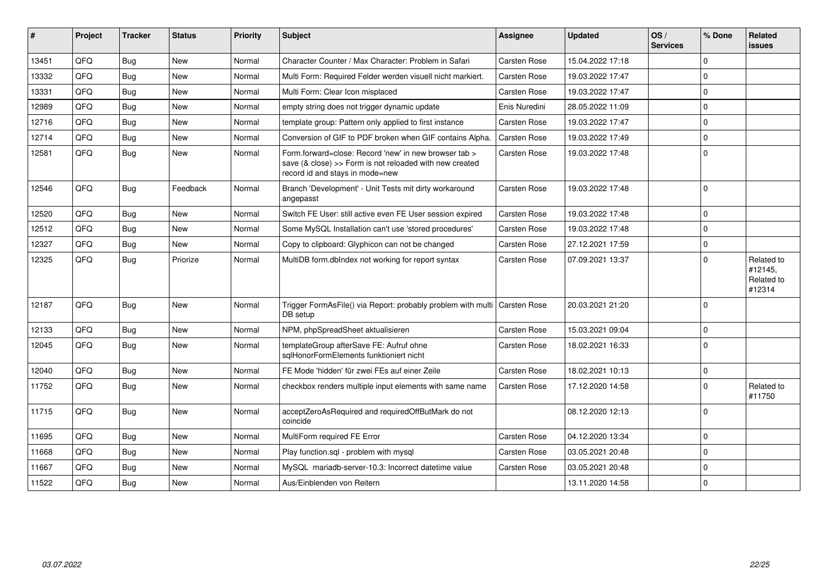| #     | Project | <b>Tracker</b> | <b>Status</b> | Priority | <b>Subject</b>                                                                                                                                      | Assignee            | <b>Updated</b>   | OS/<br><b>Services</b> | % Done      | Related<br>issues                             |
|-------|---------|----------------|---------------|----------|-----------------------------------------------------------------------------------------------------------------------------------------------------|---------------------|------------------|------------------------|-------------|-----------------------------------------------|
| 13451 | QFQ     | Bug            | New           | Normal   | Character Counter / Max Character: Problem in Safari                                                                                                | Carsten Rose        | 15.04.2022 17:18 |                        | 0           |                                               |
| 13332 | QFQ     | Bug            | New           | Normal   | Multi Form: Required Felder werden visuell nicht markiert.                                                                                          | <b>Carsten Rose</b> | 19.03.2022 17:47 |                        | $\Omega$    |                                               |
| 13331 | QFQ     | Bug            | New           | Normal   | Multi Form: Clear Icon misplaced                                                                                                                    | <b>Carsten Rose</b> | 19.03.2022 17:47 |                        | $\Omega$    |                                               |
| 12989 | QFQ     | Bug            | New           | Normal   | empty string does not trigger dynamic update                                                                                                        | Enis Nuredini       | 28.05.2022 11:09 |                        | $\Omega$    |                                               |
| 12716 | QFQ     | Bug            | <b>New</b>    | Normal   | template group: Pattern only applied to first instance                                                                                              | Carsten Rose        | 19.03.2022 17:47 |                        | 0           |                                               |
| 12714 | QFQ     | Bug            | <b>New</b>    | Normal   | Conversion of GIF to PDF broken when GIF contains Alpha.                                                                                            | <b>Carsten Rose</b> | 19.03.2022 17:49 |                        | $\Omega$    |                                               |
| 12581 | QFQ     | <b>Bug</b>     | New           | Normal   | Form.forward=close: Record 'new' in new browser tab ><br>save (& close) >> Form is not reloaded with new created<br>record id and stays in mode=new | Carsten Rose        | 19.03.2022 17:48 |                        | $\Omega$    |                                               |
| 12546 | QFQ     | <b>Bug</b>     | Feedback      | Normal   | Branch 'Development' - Unit Tests mit dirty workaround<br>angepasst                                                                                 | Carsten Rose        | 19.03.2022 17:48 |                        | $\Omega$    |                                               |
| 12520 | QFQ     | <b>Bug</b>     | New           | Normal   | Switch FE User: still active even FE User session expired                                                                                           | Carsten Rose        | 19.03.2022 17:48 |                        | 0           |                                               |
| 12512 | QFQ     | <b>Bug</b>     | <b>New</b>    | Normal   | Some MySQL Installation can't use 'stored procedures'                                                                                               | Carsten Rose        | 19.03.2022 17:48 |                        | 0           |                                               |
| 12327 | QFQ     | <b>Bug</b>     | <b>New</b>    | Normal   | Copy to clipboard: Glyphicon can not be changed                                                                                                     | Carsten Rose        | 27.12.2021 17:59 |                        | 0           |                                               |
| 12325 | QFQ     | <b>Bug</b>     | Priorize      | Normal   | MultiDB form.dblndex not working for report syntax                                                                                                  | Carsten Rose        | 07.09.2021 13:37 |                        | $\Omega$    | Related to<br>#12145,<br>Related to<br>#12314 |
| 12187 | QFQ     | Bug            | <b>New</b>    | Normal   | Trigger FormAsFile() via Report: probably problem with multi Carsten Rose<br>DB setup                                                               |                     | 20.03.2021 21:20 |                        | $\Omega$    |                                               |
| 12133 | QFQ     | <b>Bug</b>     | New           | Normal   | NPM, phpSpreadSheet aktualisieren                                                                                                                   | Carsten Rose        | 15.03.2021 09:04 |                        | $\mathbf 0$ |                                               |
| 12045 | QFQ     | <b>Bug</b>     | <b>New</b>    | Normal   | templateGroup afterSave FE: Aufruf ohne<br>sqlHonorFormElements funktioniert nicht                                                                  | <b>Carsten Rose</b> | 18.02.2021 16:33 |                        | $\Omega$    |                                               |
| 12040 | QFQ     | Bug            | <b>New</b>    | Normal   | FE Mode 'hidden' für zwei FEs auf einer Zeile                                                                                                       | Carsten Rose        | 18.02.2021 10:13 |                        | 0           |                                               |
| 11752 | QFQ     | <b>Bug</b>     | <b>New</b>    | Normal   | checkbox renders multiple input elements with same name                                                                                             | Carsten Rose        | 17.12.2020 14:58 |                        | $\Omega$    | Related to<br>#11750                          |
| 11715 | QFQ     | Bug            | <b>New</b>    | Normal   | acceptZeroAsRequired and requiredOffButMark do not<br>coincide                                                                                      |                     | 08.12.2020 12:13 |                        | 0           |                                               |
| 11695 | QFQ     | <b>Bug</b>     | <b>New</b>    | Normal   | MultiForm required FE Error                                                                                                                         | Carsten Rose        | 04.12.2020 13:34 |                        | $\Omega$    |                                               |
| 11668 | QFQ     | <b>Bug</b>     | <b>New</b>    | Normal   | Play function.sgl - problem with mysgl                                                                                                              | Carsten Rose        | 03.05.2021 20:48 |                        | $\Omega$    |                                               |
| 11667 | QFQ     | Bug            | <b>New</b>    | Normal   | MySQL mariadb-server-10.3: Incorrect datetime value                                                                                                 | Carsten Rose        | 03.05.2021 20:48 |                        | $\mathbf 0$ |                                               |
| 11522 | QFQ     | Bug            | <b>New</b>    | Normal   | Aus/Einblenden von Reitern                                                                                                                          |                     | 13.11.2020 14:58 |                        | 0           |                                               |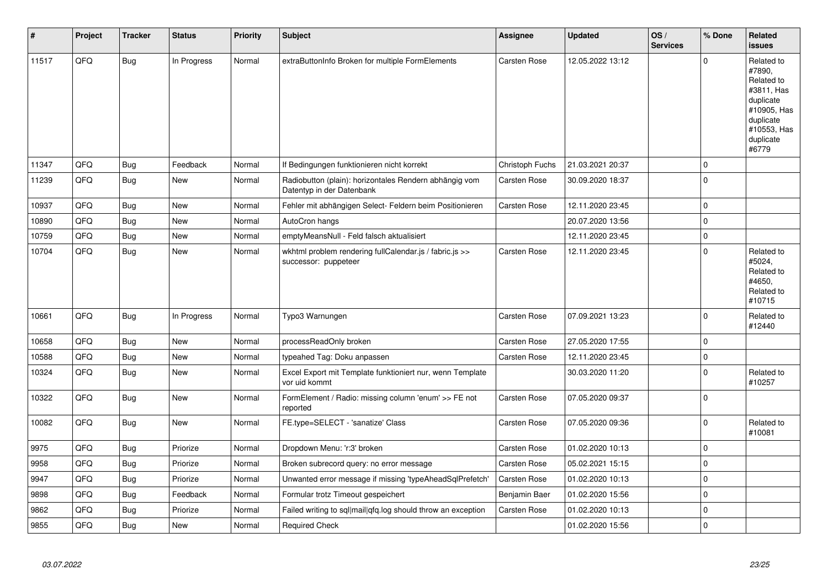| #     | Project | <b>Tracker</b> | <b>Status</b> | <b>Priority</b> | <b>Subject</b>                                                                      | <b>Assignee</b> | <b>Updated</b>   | OS/<br><b>Services</b> | % Done      | Related<br><b>issues</b>                                                                                                       |
|-------|---------|----------------|---------------|-----------------|-------------------------------------------------------------------------------------|-----------------|------------------|------------------------|-------------|--------------------------------------------------------------------------------------------------------------------------------|
| 11517 | QFQ     | <b>Bug</b>     | In Progress   | Normal          | extraButtonInfo Broken for multiple FormElements                                    | Carsten Rose    | 12.05.2022 13:12 |                        | $\Omega$    | Related to<br>#7890,<br>Related to<br>#3811, Has<br>duplicate<br>#10905, Has<br>duplicate<br>#10553, Has<br>duplicate<br>#6779 |
| 11347 | QFQ     | <b>Bug</b>     | Feedback      | Normal          | If Bedingungen funktionieren nicht korrekt                                          | Christoph Fuchs | 21.03.2021 20:37 |                        | $\Omega$    |                                                                                                                                |
| 11239 | QFQ     | <b>Bug</b>     | <b>New</b>    | Normal          | Radiobutton (plain): horizontales Rendern abhängig vom<br>Datentyp in der Datenbank | Carsten Rose    | 30.09.2020 18:37 |                        | $\mathbf 0$ |                                                                                                                                |
| 10937 | QFQ     | Bug            | <b>New</b>    | Normal          | Fehler mit abhängigen Select- Feldern beim Positionieren                            | Carsten Rose    | 12.11.2020 23:45 |                        | $\mathbf 0$ |                                                                                                                                |
| 10890 | QFQ     | Bug            | <b>New</b>    | Normal          | AutoCron hangs                                                                      |                 | 20.07.2020 13:56 |                        | $\mathbf 0$ |                                                                                                                                |
| 10759 | QFQ     | <b>Bug</b>     | <b>New</b>    | Normal          | emptyMeansNull - Feld falsch aktualisiert                                           |                 | 12.11.2020 23:45 |                        | $\mathbf 0$ |                                                                                                                                |
| 10704 | QFQ     | <b>Bug</b>     | <b>New</b>    | Normal          | wkhtml problem rendering fullCalendar.js / fabric.js >><br>successor: puppeteer     | Carsten Rose    | 12.11.2020 23:45 |                        | $\mathbf 0$ | Related to<br>#5024.<br>Related to<br>#4650.<br>Related to<br>#10715                                                           |
| 10661 | QFQ     | Bug            | In Progress   | Normal          | Typo3 Warnungen                                                                     | Carsten Rose    | 07.09.2021 13:23 |                        | $\Omega$    | Related to<br>#12440                                                                                                           |
| 10658 | QFQ     | <b>Bug</b>     | <b>New</b>    | Normal          | processReadOnly broken                                                              | Carsten Rose    | 27.05.2020 17:55 |                        | $\mathbf 0$ |                                                                                                                                |
| 10588 | QFQ     | <b>Bug</b>     | New           | Normal          | typeahed Tag: Doku anpassen                                                         | Carsten Rose    | 12.11.2020 23:45 |                        | $\pmb{0}$   |                                                                                                                                |
| 10324 | QFQ     | Bug            | <b>New</b>    | Normal          | Excel Export mit Template funktioniert nur, wenn Template<br>vor uid kommt          |                 | 30.03.2020 11:20 |                        | $\mathbf 0$ | Related to<br>#10257                                                                                                           |
| 10322 | QFQ     | <b>Bug</b>     | <b>New</b>    | Normal          | FormElement / Radio: missing column 'enum' >> FE not<br>reported                    | Carsten Rose    | 07.05.2020 09:37 |                        | $\mathbf 0$ |                                                                                                                                |
| 10082 | QFQ     | <b>Bug</b>     | New           | Normal          | FE.type=SELECT - 'sanatize' Class                                                   | Carsten Rose    | 07.05.2020 09:36 |                        | $\mathbf 0$ | Related to<br>#10081                                                                                                           |
| 9975  | QFQ     | <b>Bug</b>     | Priorize      | Normal          | Dropdown Menu: 'r:3' broken                                                         | Carsten Rose    | 01.02.2020 10:13 |                        | $\Omega$    |                                                                                                                                |
| 9958  | QFQ     | <b>Bug</b>     | Priorize      | Normal          | Broken subrecord query: no error message                                            | Carsten Rose    | 05.02.2021 15:15 |                        | $\mathbf 0$ |                                                                                                                                |
| 9947  | QFQ     | Bug            | Priorize      | Normal          | Unwanted error message if missing 'typeAheadSqlPrefetch'                            | Carsten Rose    | 01.02.2020 10:13 |                        | $\mathbf 0$ |                                                                                                                                |
| 9898  | QFQ     | <b>Bug</b>     | Feedback      | Normal          | Formular trotz Timeout gespeichert                                                  | Benjamin Baer   | 01.02.2020 15:56 |                        | $\Omega$    |                                                                                                                                |
| 9862  | QFQ     | Bug            | Priorize      | Normal          | Failed writing to sql mail qfq.log should throw an exception                        | Carsten Rose    | 01.02.2020 10:13 |                        | $\mathbf 0$ |                                                                                                                                |
| 9855  | QFQ     | <b>Bug</b>     | <b>New</b>    | Normal          | <b>Required Check</b>                                                               |                 | 01.02.2020 15:56 |                        | $\mathbf 0$ |                                                                                                                                |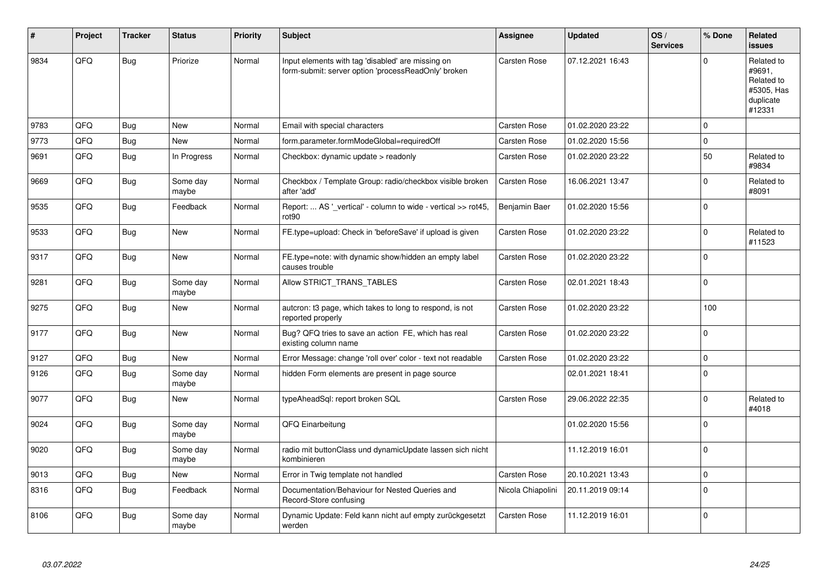| #    | Project | <b>Tracker</b> | <b>Status</b>     | <b>Priority</b> | <b>Subject</b>                                                                                           | <b>Assignee</b>   | <b>Updated</b>   | OS/<br><b>Services</b> | % Done      | Related<br><b>issues</b>                                                |
|------|---------|----------------|-------------------|-----------------|----------------------------------------------------------------------------------------------------------|-------------------|------------------|------------------------|-------------|-------------------------------------------------------------------------|
| 9834 | QFQ     | <b>Bug</b>     | Priorize          | Normal          | Input elements with tag 'disabled' are missing on<br>form-submit: server option 'processReadOnly' broken | Carsten Rose      | 07.12.2021 16:43 |                        | $\Omega$    | Related to<br>#9691,<br>Related to<br>#5305, Has<br>duplicate<br>#12331 |
| 9783 | QFQ     | Bug            | New               | Normal          | Email with special characters                                                                            | Carsten Rose      | 01.02.2020 23:22 |                        | 0           |                                                                         |
| 9773 | QFQ     | <b>Bug</b>     | <b>New</b>        | Normal          | form.parameter.formModeGlobal=requiredOff                                                                | Carsten Rose      | 01.02.2020 15:56 |                        | $\mathbf 0$ |                                                                         |
| 9691 | QFQ     | Bug            | In Progress       | Normal          | Checkbox: dynamic update > readonly                                                                      | Carsten Rose      | 01.02.2020 23:22 |                        | 50          | Related to<br>#9834                                                     |
| 9669 | QFQ     | <b>Bug</b>     | Some day<br>maybe | Normal          | Checkbox / Template Group: radio/checkbox visible broken<br>after 'add'                                  | Carsten Rose      | 16.06.2021 13:47 |                        | $\Omega$    | Related to<br>#8091                                                     |
| 9535 | QFQ     | <b>Bug</b>     | Feedback          | Normal          | Report:  AS ' vertical' - column to wide - vertical >> rot45,<br>rot90                                   | Benjamin Baer     | 01.02.2020 15:56 |                        | $\mathbf 0$ |                                                                         |
| 9533 | QFQ     | <b>Bug</b>     | New               | Normal          | FE.type=upload: Check in 'beforeSave' if upload is given                                                 | Carsten Rose      | 01.02.2020 23:22 |                        | $\mathbf 0$ | Related to<br>#11523                                                    |
| 9317 | QFQ     | Bug            | New               | Normal          | FE.type=note: with dynamic show/hidden an empty label<br>causes trouble                                  | Carsten Rose      | 01.02.2020 23:22 |                        | $\Omega$    |                                                                         |
| 9281 | QFQ     | <b>Bug</b>     | Some day<br>maybe | Normal          | Allow STRICT_TRANS_TABLES                                                                                | Carsten Rose      | 02.01.2021 18:43 |                        | $\mathbf 0$ |                                                                         |
| 9275 | QFQ     | <b>Bug</b>     | New               | Normal          | autcron: t3 page, which takes to long to respond, is not<br>reported properly                            | Carsten Rose      | 01.02.2020 23:22 |                        | 100         |                                                                         |
| 9177 | QFQ     | Bug            | New               | Normal          | Bug? QFQ tries to save an action FE, which has real<br>existing column name                              | Carsten Rose      | 01.02.2020 23:22 |                        | $\mathbf 0$ |                                                                         |
| 9127 | QFQ     | <b>Bug</b>     | New               | Normal          | Error Message: change 'roll over' color - text not readable                                              | Carsten Rose      | 01.02.2020 23:22 |                        | $\pmb{0}$   |                                                                         |
| 9126 | QFQ     | <b>Bug</b>     | Some day<br>maybe | Normal          | hidden Form elements are present in page source                                                          |                   | 02.01.2021 18:41 |                        | $\Omega$    |                                                                         |
| 9077 | QFQ     | Bug            | <b>New</b>        | Normal          | typeAheadSql: report broken SQL                                                                          | Carsten Rose      | 29.06.2022 22:35 |                        | $\mathbf 0$ | Related to<br>#4018                                                     |
| 9024 | QFQ     | <b>Bug</b>     | Some day<br>maybe | Normal          | QFQ Einarbeitung                                                                                         |                   | 01.02.2020 15:56 |                        | $\Omega$    |                                                                         |
| 9020 | QFQ     | <b>Bug</b>     | Some day<br>maybe | Normal          | radio mit buttonClass und dynamicUpdate lassen sich nicht<br>kombinieren                                 |                   | 11.12.2019 16:01 |                        | $\Omega$    |                                                                         |
| 9013 | QFQ     | <b>Bug</b>     | New               | Normal          | Error in Twig template not handled                                                                       | Carsten Rose      | 20.10.2021 13:43 |                        | $\mathbf 0$ |                                                                         |
| 8316 | QFQ     | <b>Bug</b>     | Feedback          | Normal          | Documentation/Behaviour for Nested Queries and<br>Record-Store confusing                                 | Nicola Chiapolini | 20.11.2019 09:14 |                        | $\Omega$    |                                                                         |
| 8106 | QFQ     | Bug            | Some day<br>maybe | Normal          | Dynamic Update: Feld kann nicht auf empty zurückgesetzt<br>werden                                        | Carsten Rose      | 11.12.2019 16:01 |                        | $\Omega$    |                                                                         |